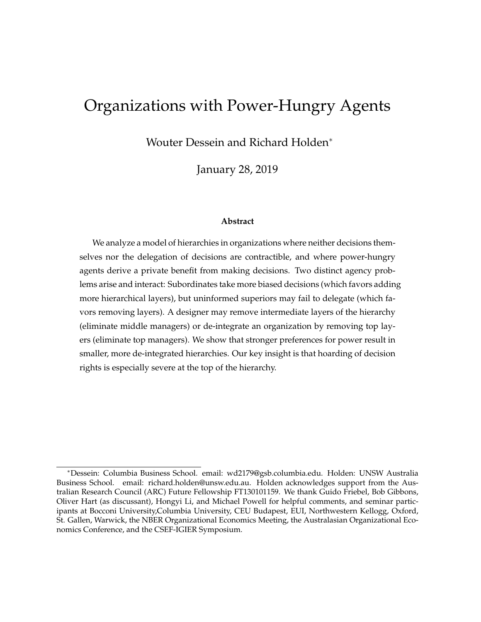# Organizations with Power-Hungry Agents

Wouter Dessein and Richard Holden

January 28, 2019

#### **Abstract**

We analyze a model of hierarchies in organizations where neither decisions themselves nor the delegation of decisions are contractible, and where power-hungry agents derive a private benefit from making decisions. Two distinct agency problems arise and interact: Subordinates take more biased decisions (which favors adding more hierarchical layers), but uninformed superiors may fail to delegate (which favors removing layers). A designer may remove intermediate layers of the hierarchy (eliminate middle managers) or de-integrate an organization by removing top layers (eliminate top managers). We show that stronger preferences for power result in smaller, more de-integrated hierarchies. Our key insight is that hoarding of decision rights is especially severe at the top of the hierarchy.

Dessein: Columbia Business School. email: wd2179@gsb.columbia.edu. Holden: UNSW Australia Business School. email: richard.holden@unsw.edu.au. Holden acknowledges support from the Australian Research Council (ARC) Future Fellowship FT130101159. We thank Guido Friebel, Bob Gibbons, Oliver Hart (as discussant), Hongyi Li, and Michael Powell for helpful comments, and seminar participants at Bocconi University,Columbia University, CEU Budapest, EUI, Northwestern Kellogg, Oxford, St. Gallen, Warwick, the NBER Organizational Economics Meeting, the Australasian Organizational Economics Conference, and the CSEF-IGIER Symposium.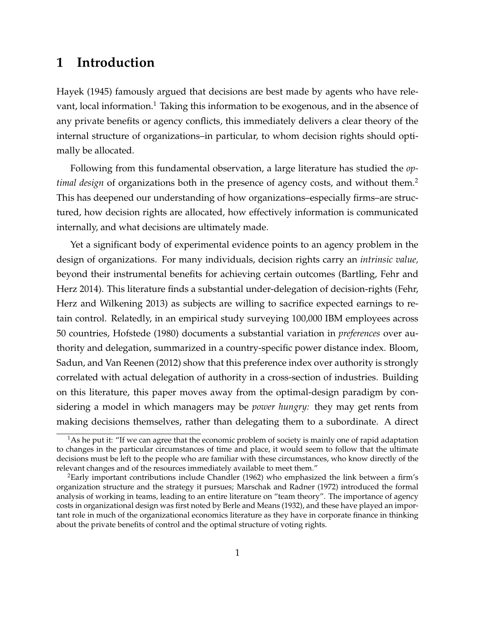# **1 Introduction**

Hayek (1945) famously argued that decisions are best made by agents who have rele-vant, local information.<sup>[1](#page-1-0)</sup> Taking this information to be exogenous, and in the absence of any private benefits or agency conflicts, this immediately delivers a clear theory of the internal structure of organizations–in particular, to whom decision rights should optimally be allocated.

Following from this fundamental observation, a large literature has studied the *optimal design* of organizations both in the presence of agency costs, and without them.<sup>[2](#page-1-1)</sup> This has deepened our understanding of how organizations–especially firms–are structured, how decision rights are allocated, how effectively information is communicated internally, and what decisions are ultimately made.

Yet a significant body of experimental evidence points to an agency problem in the design of organizations. For many individuals, decision rights carry an *intrinsic value,* beyond their instrumental benefits for achieving certain outcomes (Bartling, Fehr and Herz 2014). This literature finds a substantial under-delegation of decision-rights (Fehr, Herz and Wilkening 2013) as subjects are willing to sacrifice expected earnings to retain control. Relatedly, in an empirical study surveying 100,000 IBM employees across 50 countries, Hofstede (1980) documents a substantial variation in *preferences* over authority and delegation, summarized in a country-specific power distance index. Bloom, Sadun, and Van Reenen (2012) show that this preference index over authority is strongly correlated with actual delegation of authority in a cross-section of industries. Building on this literature, this paper moves away from the optimal-design paradigm by considering a model in which managers may be *power hungry:* they may get rents from making decisions themselves, rather than delegating them to a subordinate. A direct

<span id="page-1-0"></span> $<sup>1</sup>$ As he put it: "If we can agree that the economic problem of society is mainly one of rapid adaptation</sup> to changes in the particular circumstances of time and place, it would seem to follow that the ultimate decisions must be left to the people who are familiar with these circumstances, who know directly of the relevant changes and of the resources immediately available to meet them."

<span id="page-1-1"></span><sup>2</sup>Early important contributions include Chandler (1962) who emphasized the link between a firm's organization structure and the strategy it pursues; Marschak and Radner (1972) introduced the formal analysis of working in teams, leading to an entire literature on "team theory". The importance of agency costs in organizational design was first noted by Berle and Means (1932), and these have played an important role in much of the organizational economics literature as they have in corporate finance in thinking about the private benefits of control and the optimal structure of voting rights.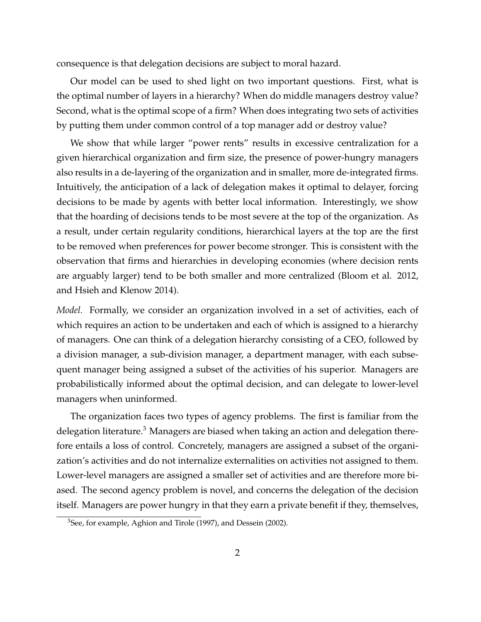consequence is that delegation decisions are subject to moral hazard.

Our model can be used to shed light on two important questions. First, what is the optimal number of layers in a hierarchy? When do middle managers destroy value? Second, what is the optimal scope of a firm? When does integrating two sets of activities by putting them under common control of a top manager add or destroy value?

We show that while larger "power rents" results in excessive centralization for a given hierarchical organization and firm size, the presence of power-hungry managers also results in a de-layering of the organization and in smaller, more de-integrated firms. Intuitively, the anticipation of a lack of delegation makes it optimal to delayer, forcing decisions to be made by agents with better local information. Interestingly, we show that the hoarding of decisions tends to be most severe at the top of the organization. As a result, under certain regularity conditions, hierarchical layers at the top are the first to be removed when preferences for power become stronger. This is consistent with the observation that firms and hierarchies in developing economies (where decision rents are arguably larger) tend to be both smaller and more centralized (Bloom et al. 2012, and Hsieh and Klenow 2014).

*Model.* Formally, we consider an organization involved in a set of activities, each of which requires an action to be undertaken and each of which is assigned to a hierarchy of managers. One can think of a delegation hierarchy consisting of a CEO, followed by a division manager, a sub-division manager, a department manager, with each subsequent manager being assigned a subset of the activities of his superior. Managers are probabilistically informed about the optimal decision, and can delegate to lower-level managers when uninformed.

The organization faces two types of agency problems. The first is familiar from the delegation literature.<sup>[3](#page-2-0)</sup> Managers are biased when taking an action and delegation therefore entails a loss of control. Concretely, managers are assigned a subset of the organization's activities and do not internalize externalities on activities not assigned to them. Lower-level managers are assigned a smaller set of activities and are therefore more biased. The second agency problem is novel, and concerns the delegation of the decision itself. Managers are power hungry in that they earn a private benefit if they, themselves,

<span id="page-2-0"></span><sup>&</sup>lt;sup>3</sup>See, for example, Aghion and Tirole (1997), and Dessein (2002).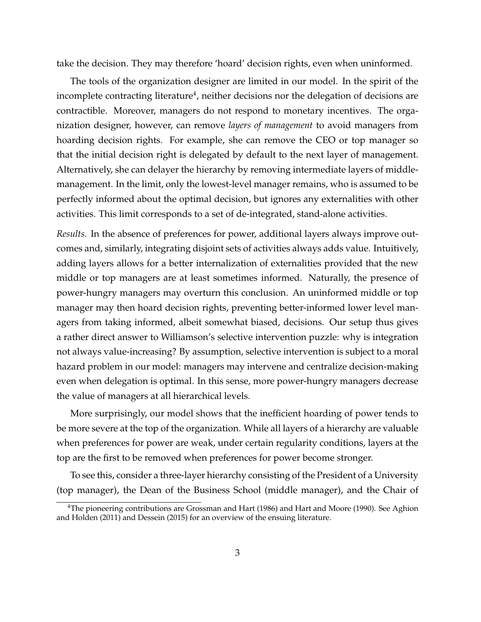take the decision. They may therefore 'hoard' decision rights, even when uninformed.

The tools of the organization designer are limited in our model. In the spirit of the incomplete contracting literature $^4$  $^4$ , neither decisions nor the delegation of decisions are contractible. Moreover, managers do not respond to monetary incentives. The organization designer, however, can remove *layers of management* to avoid managers from hoarding decision rights. For example, she can remove the CEO or top manager so that the initial decision right is delegated by default to the next layer of management. Alternatively, she can delayer the hierarchy by removing intermediate layers of middlemanagement. In the limit, only the lowest-level manager remains, who is assumed to be perfectly informed about the optimal decision, but ignores any externalities with other activities. This limit corresponds to a set of de-integrated, stand-alone activities.

*Results.* In the absence of preferences for power, additional layers always improve outcomes and, similarly, integrating disjoint sets of activities always adds value. Intuitively, adding layers allows for a better internalization of externalities provided that the new middle or top managers are at least sometimes informed. Naturally, the presence of power-hungry managers may overturn this conclusion. An uninformed middle or top manager may then hoard decision rights, preventing better-informed lower level managers from taking informed, albeit somewhat biased, decisions. Our setup thus gives a rather direct answer to Williamson's selective intervention puzzle: why is integration not always value-increasing? By assumption, selective intervention is subject to a moral hazard problem in our model: managers may intervene and centralize decision-making even when delegation is optimal. In this sense, more power-hungry managers decrease the value of managers at all hierarchical levels.

More surprisingly, our model shows that the inefficient hoarding of power tends to be more severe at the top of the organization. While all layers of a hierarchy are valuable when preferences for power are weak, under certain regularity conditions, layers at the top are the first to be removed when preferences for power become stronger.

To see this, consider a three-layer hierarchy consisting of the President of a University (top manager), the Dean of the Business School (middle manager), and the Chair of

<span id="page-3-0"></span><sup>4</sup>The pioneering contributions are Grossman and Hart (1986) and Hart and Moore (1990). See Aghion and Holden (2011) and Dessein (2015) for an overview of the ensuing literature.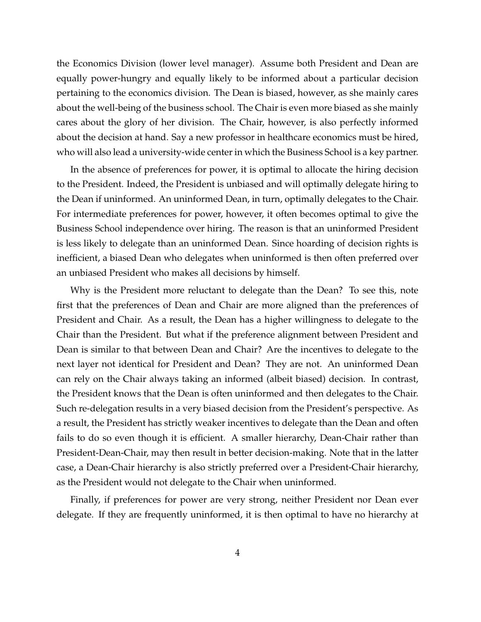the Economics Division (lower level manager). Assume both President and Dean are equally power-hungry and equally likely to be informed about a particular decision pertaining to the economics division. The Dean is biased, however, as she mainly cares about the well-being of the business school. The Chair is even more biased as she mainly cares about the glory of her division. The Chair, however, is also perfectly informed about the decision at hand. Say a new professor in healthcare economics must be hired, who will also lead a university-wide center in which the Business School is a key partner.

In the absence of preferences for power, it is optimal to allocate the hiring decision to the President. Indeed, the President is unbiased and will optimally delegate hiring to the Dean if uninformed. An uninformed Dean, in turn, optimally delegates to the Chair. For intermediate preferences for power, however, it often becomes optimal to give the Business School independence over hiring. The reason is that an uninformed President is less likely to delegate than an uninformed Dean. Since hoarding of decision rights is inefficient, a biased Dean who delegates when uninformed is then often preferred over an unbiased President who makes all decisions by himself.

Why is the President more reluctant to delegate than the Dean? To see this, note first that the preferences of Dean and Chair are more aligned than the preferences of President and Chair. As a result, the Dean has a higher willingness to delegate to the Chair than the President. But what if the preference alignment between President and Dean is similar to that between Dean and Chair? Are the incentives to delegate to the next layer not identical for President and Dean? They are not. An uninformed Dean can rely on the Chair always taking an informed (albeit biased) decision. In contrast, the President knows that the Dean is often uninformed and then delegates to the Chair. Such re-delegation results in a very biased decision from the President's perspective. As a result, the President has strictly weaker incentives to delegate than the Dean and often fails to do so even though it is efficient. A smaller hierarchy, Dean-Chair rather than President-Dean-Chair, may then result in better decision-making. Note that in the latter case, a Dean-Chair hierarchy is also strictly preferred over a President-Chair hierarchy, as the President would not delegate to the Chair when uninformed.

Finally, if preferences for power are very strong, neither President nor Dean ever delegate. If they are frequently uninformed, it is then optimal to have no hierarchy at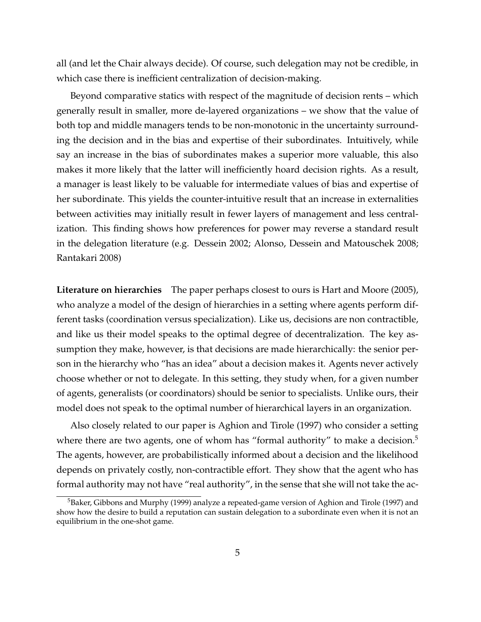all (and let the Chair always decide). Of course, such delegation may not be credible, in which case there is inefficient centralization of decision-making.

Beyond comparative statics with respect of the magnitude of decision rents – which generally result in smaller, more de-layered organizations – we show that the value of both top and middle managers tends to be non-monotonic in the uncertainty surrounding the decision and in the bias and expertise of their subordinates. Intuitively, while say an increase in the bias of subordinates makes a superior more valuable, this also makes it more likely that the latter will inefficiently hoard decision rights. As a result, a manager is least likely to be valuable for intermediate values of bias and expertise of her subordinate. This yields the counter-intuitive result that an increase in externalities between activities may initially result in fewer layers of management and less centralization. This finding shows how preferences for power may reverse a standard result in the delegation literature (e.g. Dessein 2002; Alonso, Dessein and Matouschek 2008; Rantakari 2008)

**Literature on hierarchies** The paper perhaps closest to ours is Hart and Moore (2005), who analyze a model of the design of hierarchies in a setting where agents perform different tasks (coordination versus specialization). Like us, decisions are non contractible, and like us their model speaks to the optimal degree of decentralization. The key assumption they make, however, is that decisions are made hierarchically: the senior person in the hierarchy who "has an idea" about a decision makes it. Agents never actively choose whether or not to delegate. In this setting, they study when, for a given number of agents, generalists (or coordinators) should be senior to specialists. Unlike ours, their model does not speak to the optimal number of hierarchical layers in an organization.

Also closely related to our paper is Aghion and Tirole (1997) who consider a setting where there are two agents, one of whom has "formal authority" to make a decision.<sup>[5](#page-5-0)</sup> The agents, however, are probabilistically informed about a decision and the likelihood depends on privately costly, non-contractible effort. They show that the agent who has formal authority may not have "real authority", in the sense that she will not take the ac-

<span id="page-5-0"></span><sup>&</sup>lt;sup>5</sup>Baker, Gibbons and Murphy (1999) analyze a repeated-game version of Aghion and Tirole (1997) and show how the desire to build a reputation can sustain delegation to a subordinate even when it is not an equilibrium in the one-shot game.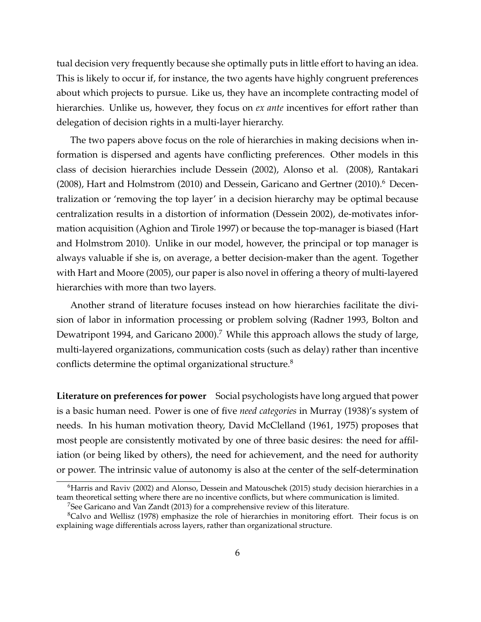tual decision very frequently because she optimally puts in little effort to having an idea. This is likely to occur if, for instance, the two agents have highly congruent preferences about which projects to pursue. Like us, they have an incomplete contracting model of hierarchies. Unlike us, however, they focus on *ex ante* incentives for effort rather than delegation of decision rights in a multi-layer hierarchy.

The two papers above focus on the role of hierarchies in making decisions when information is dispersed and agents have conflicting preferences. Other models in this class of decision hierarchies include Dessein (2002), Alonso et al. (2008), Rantakari (2008), Hart and Holmstrom (2010) and Dessein, Garicano and Gertner (2010).<sup>[6](#page-6-0)</sup> Decentralization or 'removing the top layer' in a decision hierarchy may be optimal because centralization results in a distortion of information (Dessein 2002), de-motivates information acquisition (Aghion and Tirole 1997) or because the top-manager is biased (Hart and Holmstrom 2010). Unlike in our model, however, the principal or top manager is always valuable if she is, on average, a better decision-maker than the agent. Together with Hart and Moore (2005), our paper is also novel in offering a theory of multi-layered hierarchies with more than two layers.

Another strand of literature focuses instead on how hierarchies facilitate the division of labor in information processing or problem solving (Radner 1993, Bolton and Dewatripont 1994, and Garicano 2000).<sup>[7](#page-6-1)</sup> While this approach allows the study of large, multi-layered organizations, communication costs (such as delay) rather than incentive conflicts determine the optimal organizational structure.<sup>[8](#page-6-2)</sup>

**Literature on preferences for power** Social psychologists have long argued that power is a basic human need. Power is one of five *need categories* in Murray (1938)'s system of needs. In his human motivation theory, David McClelland (1961, 1975) proposes that most people are consistently motivated by one of three basic desires: the need for affiliation (or being liked by others), the need for achievement, and the need for authority or power. The intrinsic value of autonomy is also at the center of the self-determination

<span id="page-6-0"></span><sup>&</sup>lt;sup>6</sup>Harris and Raviv (2002) and Alonso, Dessein and Matouschek (2015) study decision hierarchies in a team theoretical setting where there are no incentive conflicts, but where communication is limited.

<span id="page-6-2"></span><span id="page-6-1"></span> $7$ See Garicano and Van Zandt (2013) for a comprehensive review of this literature.

 ${}^{8}$ Calvo and Wellisz (1978) emphasize the role of hierarchies in monitoring effort. Their focus is on explaining wage differentials across layers, rather than organizational structure.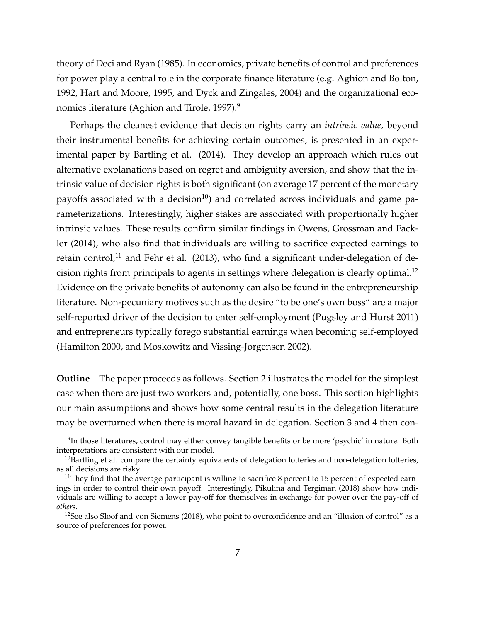theory of Deci and Ryan (1985). In economics, private benefits of control and preferences for power play a central role in the corporate finance literature (e.g. Aghion and Bolton, 1992, Hart and Moore, 1995, and Dyck and Zingales, 2004) and the organizational eco-nomics literature (Aghion and Tirole, 1[9](#page-7-0)97).<sup>9</sup>

Perhaps the cleanest evidence that decision rights carry an *intrinsic value,* beyond their instrumental benefits for achieving certain outcomes, is presented in an experimental paper by Bartling et al. (2014). They develop an approach which rules out alternative explanations based on regret and ambiguity aversion, and show that the intrinsic value of decision rights is both significant (on average 17 percent of the monetary payoffs associated with a decision<sup>[10](#page-7-1)</sup>) and correlated across individuals and game parameterizations. Interestingly, higher stakes are associated with proportionally higher intrinsic values. These results confirm similar findings in Owens, Grossman and Fackler (2014), who also find that individuals are willing to sacrifice expected earnings to retain control, $11$  and Fehr et al. (2013), who find a significant under-delegation of de-cision rights from principals to agents in settings where delegation is clearly optimal.<sup>[12](#page-7-3)</sup> Evidence on the private benefits of autonomy can also be found in the entrepreneurship literature. Non-pecuniary motives such as the desire "to be one's own boss" are a major self-reported driver of the decision to enter self-employment (Pugsley and Hurst 2011) and entrepreneurs typically forego substantial earnings when becoming self-employed (Hamilton 2000, and Moskowitz and Vissing-Jorgensen 2002).

**Outline** The paper proceeds as follows. Section 2 illustrates the model for the simplest case when there are just two workers and, potentially, one boss. This section highlights our main assumptions and shows how some central results in the delegation literature may be overturned when there is moral hazard in delegation. Section 3 and 4 then con-

<span id="page-7-0"></span> $^9$ In those literatures, control may either convey tangible benefits or be more 'psychic' in nature. Both interpretations are consistent with our model.

<span id="page-7-1"></span> $10$ Bartling et al. compare the certainty equivalents of delegation lotteries and non-delegation lotteries, as all decisions are risky.

<span id="page-7-2"></span><sup>&</sup>lt;sup>11</sup>They find that the average participant is willing to sacrifice 8 percent to 15 percent of expected earnings in order to control their own payoff. Interestingly, Pikulina and Tergiman (2018) show how individuals are willing to accept a lower pay-off for themselves in exchange for power over the pay-off of *others*.

<span id="page-7-3"></span><sup>&</sup>lt;sup>12</sup>See also Sloof and von Siemens (2018), who point to overconfidence and an "illusion of control" as a source of preferences for power.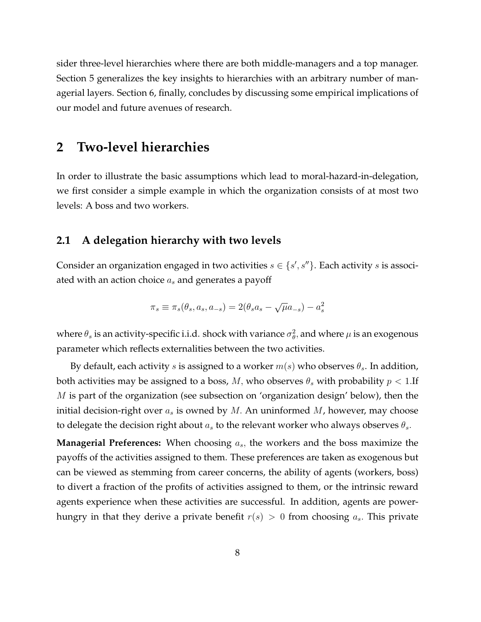sider three-level hierarchies where there are both middle-managers and a top manager. Section 5 generalizes the key insights to hierarchies with an arbitrary number of managerial layers. Section 6, finally, concludes by discussing some empirical implications of our model and future avenues of research.

## <span id="page-8-0"></span>**2 Two-level hierarchies**

In order to illustrate the basic assumptions which lead to moral-hazard-in-delegation, we first consider a simple example in which the organization consists of at most two levels: A boss and two workers.

### **2.1 A delegation hierarchy with two levels**

Consider an organization engaged in two activities  $s \in \{s', s''\}$ . Each activity  $s$  is associated with an action choice  $a_s$  and generates a payoff

$$
\pi_s \equiv \pi_s(\theta_s, a_s, a_{-s}) = 2(\theta_s a_s - \sqrt{\mu} a_{-s}) - a_s^2
$$

where  $\theta_s$  is an activity-specific i.i.d. shock with variance  $\sigma_\theta^2$ , and where  $\mu$  is an exogenous parameter which reflects externalities between the two activities.

By default, each activity s is assigned to a worker  $m(s)$  who observes  $\theta_s$ . In addition, both activities may be assigned to a boss, M, who observes  $\theta_s$  with probability  $p < 1$ . If  $M$  is part of the organization (see subsection on 'organization design' below), then the initial decision-right over  $a_s$  is owned by M. An uninformed M, however, may choose to delegate the decision right about  $a_s$  to the relevant worker who always observes  $\theta_s$ .

**Managerial Preferences:** When choosing  $a_s$ , the workers and the boss maximize the payoffs of the activities assigned to them. These preferences are taken as exogenous but can be viewed as stemming from career concerns, the ability of agents (workers, boss) to divert a fraction of the profits of activities assigned to them, or the intrinsic reward agents experience when these activities are successful. In addition, agents are powerhungry in that they derive a private benefit  $r(s) > 0$  from choosing  $a_s$ . This private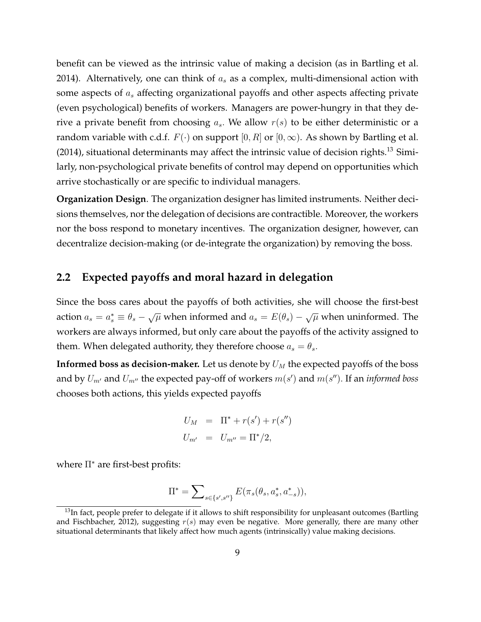benefit can be viewed as the intrinsic value of making a decision (as in Bartling et al. 2014). Alternatively, one can think of  $a<sub>s</sub>$  as a complex, multi-dimensional action with some aspects of  $a_s$  affecting organizational payoffs and other aspects affecting private (even psychological) benefits of workers. Managers are power-hungry in that they derive a private benefit from choosing  $a_s$ . We allow  $r(s)$  to be either deterministic or a random variable with c.d.f.  $F(\cdot)$  on support  $[0, R]$  or  $[0, \infty)$ . As shown by Bartling et al.  $(2014)$ , situational determinants may affect the intrinsic value of decision rights.<sup>[13](#page-9-0)</sup> Similarly, non-psychological private benefits of control may depend on opportunities which arrive stochastically or are specific to individual managers.

**Organization Design**. The organization designer has limited instruments. Neither decisions themselves, nor the delegation of decisions are contractible. Moreover, the workers nor the boss respond to monetary incentives. The organization designer, however, can decentralize decision-making (or de-integrate the organization) by removing the boss.

### **2.2 Expected payoffs and moral hazard in delegation**

Since the boss cares about the payoffs of both activities, she will choose the first-best action  $a_s = a_s^* \equiv \theta_s - \sqrt{\mu}$  when informed and  $a_s = E(\theta_s) - \sqrt{\mu}$  when uninformed. The workers are always informed, but only care about the payoffs of the activity assigned to them. When delegated authority, they therefore choose  $a_s = \theta_s$ .

**Informed boss as decision-maker.** Let us denote by  $U_M$  the expected payoffs of the boss and by  $U_{m'}$  and  $U_{m''}$  the expected pay-off of workers  $m(s')$  and  $m(s'')$ . If an *informed boss* chooses both actions, this yields expected payoffs

$$
U_M = \Pi^* + r(s') + r(s'')
$$
  

$$
U_{m'} = U_{m''} = \Pi^*/2,
$$

where  $\Pi^*$  are first-best profits:

$$
\Pi^* = \sum\nolimits_{s \in \{s',s''\}} E(\pi_s(\theta_s, a_s^*, a_{-s}^*)),
$$

<span id="page-9-0"></span> $13$ In fact, people prefer to delegate if it allows to shift responsibility for unpleasant outcomes (Bartling and Fischbacher, 2012), suggesting  $r(s)$  may even be negative. More generally, there are many other situational determinants that likely affect how much agents (intrinsically) value making decisions.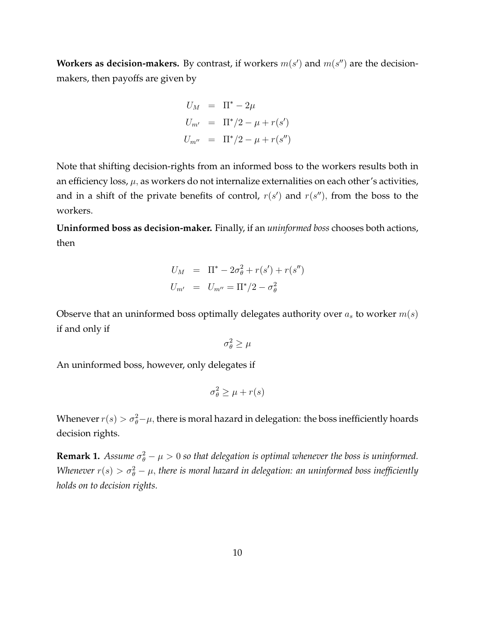**Workers as decision-makers.** By contrast, if workers  $m(s')$  and  $m(s'')$  are the decisionmakers, then payoffs are given by

$$
U_M = \Pi^* - 2\mu
$$
  
\n
$$
U_{m'} = \Pi^*/2 - \mu + r(s')
$$
  
\n
$$
U_{m''} = \Pi^*/2 - \mu + r(s'')
$$

Note that shifting decision-rights from an informed boss to the workers results both in an efficiency loss,  $\mu$ , as workers do not internalize externalities on each other's activities, and in a shift of the private benefits of control,  $r(s')$  and  $r(s'')$ , from the boss to the workers.

**Uninformed boss as decision-maker.** Finally, if an *uninformed boss* chooses both actions, then

$$
U_M = \Pi^* - 2\sigma_\theta^2 + r(s') + r(s'')
$$
  

$$
U_{m'} = U_{m''} = \Pi^* / 2 - \sigma_\theta^2
$$

Observe that an uninformed boss optimally delegates authority over  $a_s$  to worker  $m(s)$ if and only if

$$
\sigma_{\theta}^2 \geq \mu
$$

An uninformed boss, however, only delegates if

$$
\sigma_{\theta}^2 \ge \mu + r(s)
$$

Whenever  $r(s) > \sigma_{\theta}^2 - \mu$ , there is moral hazard in delegation: the boss inefficiently hoards decision rights.

**Remark 1.** Assume  $\sigma_{\theta}^2 - \mu > 0$  so that delegation is optimal whenever the boss is uninformed. Whenever  $r(s) > \sigma_{\theta}^2 - \mu$ , there is moral hazard in delegation: an uninformed boss inefficiently *holds on to decision rights.*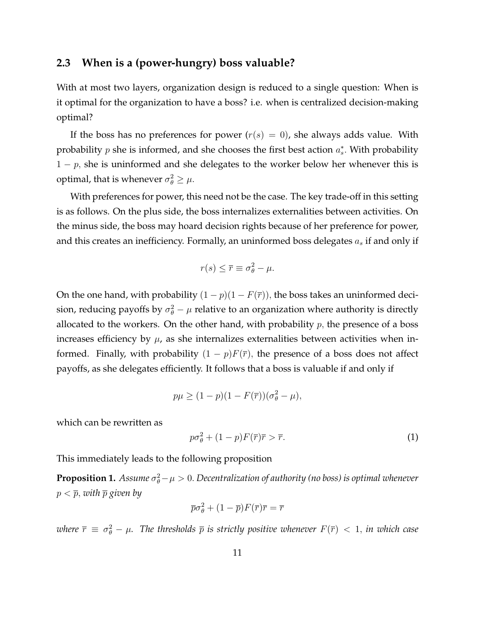#### <span id="page-11-2"></span>**2.3 When is a (power-hungry) boss valuable?**

With at most two layers, organization design is reduced to a single question: When is it optimal for the organization to have a boss? i.e. when is centralized decision-making optimal?

If the boss has no preferences for power  $(r(s) = 0)$ , she always adds value. With probability  $p$  she is informed, and she chooses the first best action  $a_s^*$ . With probability  $1 - p$ , she is uninformed and she delegates to the worker below her whenever this is optimal, that is whenever  $\sigma_{\theta}^2 \geq \mu$ .

With preferences for power, this need not be the case. The key trade-off in this setting is as follows. On the plus side, the boss internalizes externalities between activities. On the minus side, the boss may hoard decision rights because of her preference for power, and this creates an inefficiency. Formally, an uninformed boss delegates  $a_s$  if and only if

$$
r(s) \leq \overline{r} \equiv \sigma_{\theta}^2 - \mu.
$$

On the one hand, with probability  $(1 - p)(1 - F(\overline{r}))$ , the boss takes an uninformed decision, reducing payoffs by  $\sigma_{\theta}^2 - \mu$  relative to an organization where authority is directly allocated to the workers. On the other hand, with probability  $p$ , the presence of a boss increases efficiency by  $\mu$ , as she internalizes externalities between activities when informed. Finally, with probability  $(1 - p)F(\overline{r})$ , the presence of a boss does not affect payoffs, as she delegates efficiently. It follows that a boss is valuable if and only if

$$
p\mu \ge (1 - p)(1 - F(\overline{r}))(\sigma_{\theta}^2 - \mu),
$$

which can be rewritten as

<span id="page-11-0"></span>
$$
p\sigma_{\theta}^{2} + (1-p)F(\overline{r})\overline{r} > \overline{r}.
$$
 (1)

This immediately leads to the following proposition

<span id="page-11-1"></span> $\bf{Proposition 1.}$   $\it Assume$   $\sigma_\theta^2 - \mu > 0$ . Decentralization of authority (no boss) is optimal whenever  $p < \overline{p}$ , with  $\overline{p}$  given by

$$
\overline{p}\sigma_{\theta}^{2} + (1 - \overline{p})F(\overline{r})\overline{r} = \overline{r}
$$

where  $\bar{r} \, \equiv \, \sigma_\theta^2 - \mu$ . The thresholds  $\bar{p}$  is strictly positive whenever  $F(\bar{r}) \, < \, 1,$  in which case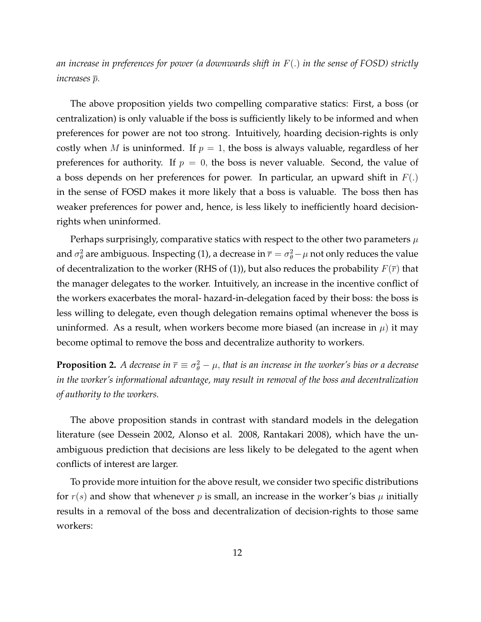*an increase in preferences for power (a downwards shift in* F(:) *in the sense of FOSD) strictly increases*  $\overline{p}$ *.* 

The above proposition yields two compelling comparative statics: First, a boss (or centralization) is only valuable if the boss is sufficiently likely to be informed and when preferences for power are not too strong. Intuitively, hoarding decision-rights is only costly when M is uninformed. If  $p = 1$ , the boss is always valuable, regardless of her preferences for authority. If  $p = 0$ , the boss is never valuable. Second, the value of a boss depends on her preferences for power. In particular, an upward shift in  $F(.)$ in the sense of FOSD makes it more likely that a boss is valuable. The boss then has weaker preferences for power and, hence, is less likely to inefficiently hoard decisionrights when uninformed.

Perhaps surprisingly, comparative statics with respect to the other two parameters  $\mu$ and  $\sigma_\theta^2$  are ambiguous. Inspecting [\(1\)](#page-11-0), a decrease in  $\overline{r}=\sigma_\theta^2-\mu$  not only reduces the value of decentralization to the worker (RHS of [\(1\)](#page-11-0)), but also reduces the probability  $F(\overline{r})$  that the manager delegates to the worker. Intuitively, an increase in the incentive conflict of the workers exacerbates the moral- hazard-in-delegation faced by their boss: the boss is less willing to delegate, even though delegation remains optimal whenever the boss is uninformed. As a result, when workers become more biased (an increase in  $\mu$ ) it may become optimal to remove the boss and decentralize authority to workers.

**Proposition 2.** A decrease in  $\overline{r} \equiv \sigma_{\theta}^2 - \mu$ , that is an increase in the worker's bias or a decrease *in the worker's informational advantage, may result in removal of the boss and decentralization of authority to the workers.*

The above proposition stands in contrast with standard models in the delegation literature (see Dessein 2002, Alonso et al. 2008, Rantakari 2008), which have the unambiguous prediction that decisions are less likely to be delegated to the agent when conflicts of interest are larger.

To provide more intuition for the above result, we consider two specific distributions for  $r(s)$  and show that whenever p is small, an increase in the worker's bias  $\mu$  initially results in a removal of the boss and decentralization of decision-rights to those same workers: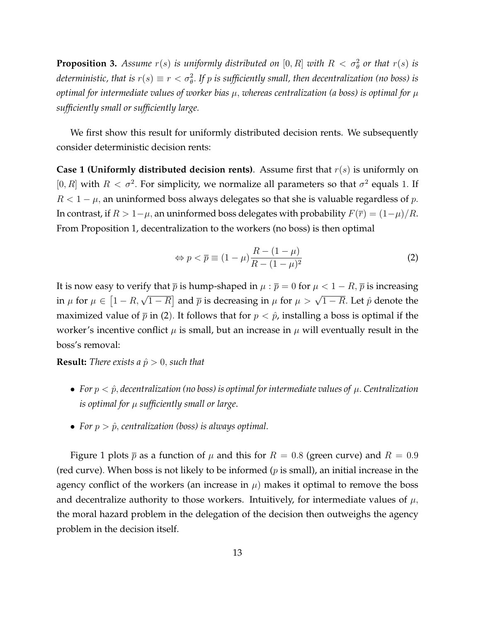**Proposition 3.** Assume  $r(s)$  is uniformly distributed on  $[0, R]$  with  $R < \sigma_{\theta}^2$  or that  $r(s)$  is deterministic, that is  $r(s) \equiv r < \sigma_{\theta}^2$ . If  $p$  is sufficiently small, then decentralization (no boss) is *optimal for intermediate values of worker bias*  $\mu$ , *whereas centralization (a boss) is optimal for*  $\mu$ *sufficiently small or sufficiently large.*

We first show this result for uniformly distributed decision rents. We subsequently consider deterministic decision rents:

**Case 1 (Uniformly distributed decision rents)**. Assume first that  $r(s)$  is uniformly on [0, R] with  $R < \sigma^2$ . For simplicity, we normalize all parameters so that  $\sigma^2$  equals 1. If  $R < 1 - \mu$ , an uninformed boss always delegates so that she is valuable regardless of p. In contrast, if  $R > 1-\mu$ , an uninformed boss delegates with probability  $F(\overline{r}) = (1-\mu)/R$ . From Proposition [1,](#page-11-1) decentralization to the workers (no boss) is then optimal

<span id="page-13-0"></span>
$$
\Leftrightarrow p < \overline{p} \equiv (1 - \mu) \frac{R - (1 - \mu)}{R - (1 - \mu)^2} \tag{2}
$$

It is now easy to verify that  $\bar{p}$  is hump-shaped in  $\mu : \bar{p} = 0$  for  $\mu < 1 - R$ ,  $\bar{p}$  is increasing in  $\mu$  for  $\mu \in [1 - R, \sqrt{1 - R}]$  and  $\bar{p}$  is decreasing in  $\mu$  for  $\mu > \sqrt{1 - R}$ . Let  $\hat{p}$  denote the maximized value of  $\bar{p}$  in [\(2](#page-13-0)). It follows that for  $p < \hat{p}$ , installing a boss is optimal if the worker's incentive conflict  $\mu$  is small, but an increase in  $\mu$  will eventually result in the boss's removal:

**Result:** *There exists a*  $\hat{p} > 0$ *, such that* 

- For  $p < \hat{p}$ , decentralization (no boss) is optimal for intermediate values of  $\mu$ . Centralization *is optimal for sufficiently small or large*.
- For  $p > \hat{p}$ , centralization (boss) is always optimal.

Figure [1](#page-14-0) plots  $\bar{p}$  as a function of  $\mu$  and this for  $R = 0.8$  (green curve) and  $R = 0.9$ (red curve). When boss is not likely to be informed ( $p$  is small), an initial increase in the agency conflict of the workers (an increase in  $\mu$ ) makes it optimal to remove the boss and decentralize authority to those workers. Intuitively, for intermediate values of  $\mu$ , the moral hazard problem in the delegation of the decision then outweighs the agency problem in the decision itself.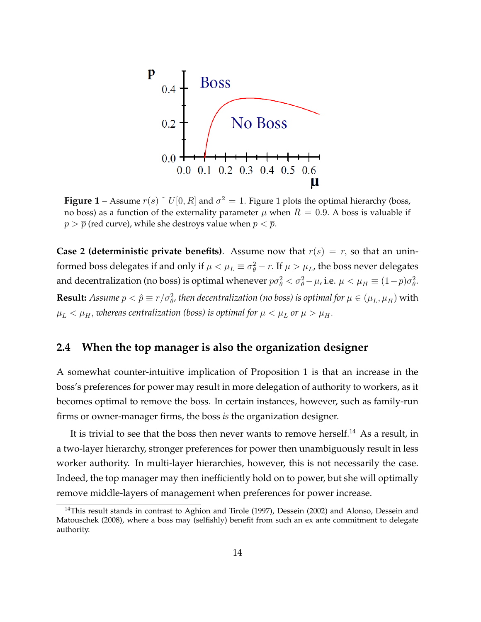<span id="page-14-0"></span>

**Figure [1](#page-14-0)** – Assume  $r(s) \upharpoonright U[0,R]$  and  $\sigma^2 = 1$ . Figure 1 plots the optimal hierarchy (boss, no boss) as a function of the externality parameter  $\mu$  when  $R = 0.9$ . A boss is valuable if  $p > \overline{p}$  (red curve), while she destroys value when  $p < \overline{p}$ .

**Case 2 (deterministic private benefits)**. Assume now that  $r(s) = r$ , so that an uninformed boss delegates if and only if  $\mu < \mu_L \equiv \sigma_{\theta}^2 - r$ . If  $\mu > \mu_L$ , the boss never delegates and decentralization (no boss) is optimal whenever  $p\sigma_\theta^2 < \sigma_\theta^2 - \mu$ , i.e.  $\mu < \mu_H \equiv (1-p)\sigma_\theta^2$ . **Result:** Assume  $p < \hat{p} \equiv r/\sigma_{\theta}^2$ , then decentralization (no boss) is optimal for  $\mu \in (\mu_L, \mu_H)$  with  $\mu_L < \mu_H$ , whereas centralization (boss) is optimal for  $\mu < \mu_L$  or  $\mu > \mu_H$ .

## **2.4 When the top manager is also the organization designer**

A somewhat counter-intuitive implication of Proposition [1](#page-11-1) is that an increase in the boss's preferences for power may result in more delegation of authority to workers, as it becomes optimal to remove the boss. In certain instances, however, such as family-run firms or owner-manager firms, the boss *is* the organization designer.

It is trivial to see that the boss then never wants to remove herself.<sup>[14](#page-14-1)</sup> As a result, in a two-layer hierarchy, stronger preferences for power then unambiguously result in less worker authority. In multi-layer hierarchies, however, this is not necessarily the case. Indeed, the top manager may then inefficiently hold on to power, but she will optimally remove middle-layers of management when preferences for power increase.

<span id="page-14-1"></span><sup>&</sup>lt;sup>14</sup>This result stands in contrast to Aghion and Tirole (1997), Dessein (2002) and Alonso, Dessein and Matouschek (2008), where a boss may (selfishly) benefit from such an ex ante commitment to delegate authority.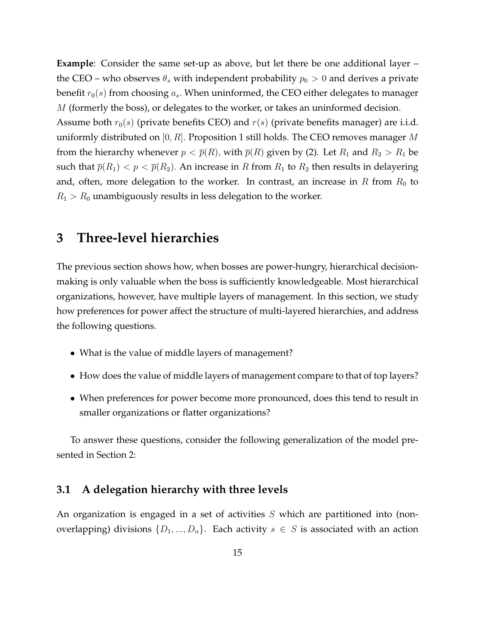**Example**: Consider the same set-up as above, but let there be one additional layer – the CEO – who observes  $\theta_s$  with independent probability  $p_0 > 0$  and derives a private benefit  $r_0(s)$  from choosing  $a_s$ . When uninformed, the CEO either delegates to manager  $M$  (formerly the boss), or delegates to the worker, or takes an uninformed decision.

Assume both  $r_0(s)$  (private benefits CEO) and  $r(s)$  (private benefits manager) are i.i.d. uniformly distributed on  $[0, R]$ . Proposition [1](#page-11-1) still holds. The CEO removes manager M from the hierarchy whenever  $p < \overline{p}(R)$ , with  $\overline{p}(R)$  given by [\(2\)](#page-13-0). Let  $R_1$  and  $R_2 > R_1$  be such that  $\bar{p}(R_1) < p < \bar{p}(R_2)$ . An increase in R from  $R_1$  to  $R_2$  then results in delayering and, often, more delegation to the worker. In contrast, an increase in  $R$  from  $R_0$  to  $R_1 > R_0$  unambiguously results in less delegation to the worker.

## **3 Three-level hierarchies**

The previous section shows how, when bosses are power-hungry, hierarchical decisionmaking is only valuable when the boss is sufficiently knowledgeable. Most hierarchical organizations, however, have multiple layers of management. In this section, we study how preferences for power affect the structure of multi-layered hierarchies, and address the following questions.

- What is the value of middle layers of management?
- How does the value of middle layers of management compare to that of top layers?
- When preferences for power become more pronounced, does this tend to result in smaller organizations or flatter organizations?

To answer these questions, consider the following generalization of the model presented in Section [2:](#page-8-0)

### **3.1 A delegation hierarchy with three levels**

An organization is engaged in a set of activities  $S$  which are partitioned into (nonoverlapping) divisions  $\{D_1, ..., D_n\}$ . Each activity  $s \in S$  is associated with an action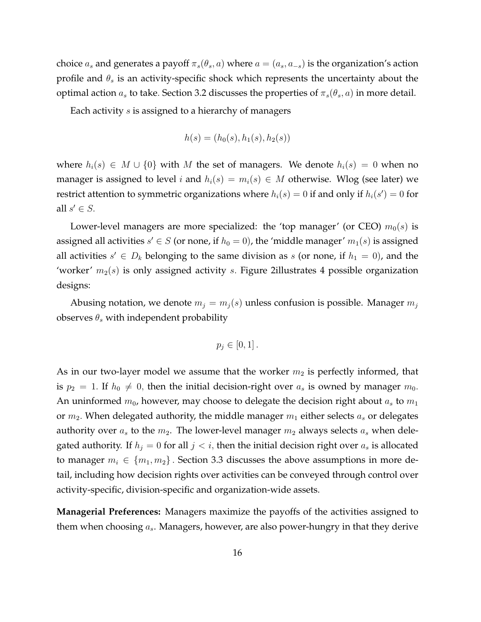choice  $a_s$  and generates a payoff  $\pi_s(\theta_s, a)$  where  $a = (a_s, a_{-s})$  is the organization's action profile and  $\theta_s$  is an activity-specific shock which represents the uncertainty about the optimal action  $a_s$  to take. Section [3.2](#page-18-0) discusses the properties of  $\pi_s(\theta_s, a)$  in more detail.

Each activity s is assigned to a hierarchy of managers

$$
h(s) = (h_0(s), h_1(s), h_2(s))
$$

where  $h_i(s) \in M \cup \{0\}$  with M the set of managers. We denote  $h_i(s) = 0$  when no manager is assigned to level i and  $h_i(s) = m_i(s) \in M$  otherwise. Wlog (see later) we restrict attention to symmetric organizations where  $h_i(s)=0$  if and only if  $h_i(s^\prime)=0$  for all  $s' \in S$ .

Lower-level managers are more specialized: the 'top manager' (or CEO)  $m_0(s)$  is assigned all activities  $s' \in S$  (or none, if  $h_0 = 0$ ), the 'middle manager'  $m_1(s)$  is assigned all activities  $s' \in D_k$  belonging to the same division as s (or none, if  $h_1 = 0$ ), and the 'worker'  $m_2(s)$  is only assigned activity s. Figure [2i](#page-17-0)llustrates 4 possible organization designs:

Abusing notation, we denote  $m_i = m_i(s)$  unless confusion is possible. Manager  $m_i$ observes  $\theta_s$  with independent probability

$$
p_j\in[0,1].
$$

As in our two-layer model we assume that the worker  $m_2$  is perfectly informed, that is  $p_2 = 1$ . If  $h_0 \neq 0$ , then the initial decision-right over  $a_s$  is owned by manager  $m_0$ . An uninformed  $m_0$ , however, may choose to delegate the decision right about  $a_s$  to  $m_1$ or  $m_2$ . When delegated authority, the middle manager  $m_1$  either selects  $a_s$  or delegates authority over  $a_s$  to the  $m_2$ . The lower-level manager  $m_2$  always selects  $a_s$  when delegated authority. If  $h_j = 0$  for all  $j < i$ , then the initial decision right over  $a_s$  is allocated to manager  $m_i \in \{m_1, m_2\}$ . Section [3.3](#page-20-0) discusses the above assumptions in more detail, including how decision rights over activities can be conveyed through control over activity-specific, division-specific and organization-wide assets.

**Managerial Preferences:** Managers maximize the payoffs of the activities assigned to them when choosing  $a_s$ . Managers, however, are also power-hungry in that they derive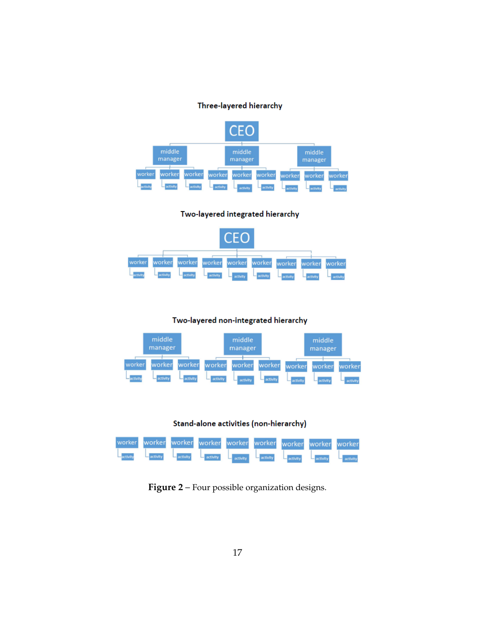#### Three-layered hierarchy

<span id="page-17-0"></span>

#### Two-layered integrated hierarchy



#### Two-layered non-integrated hierarchy







**Figure 2** – Four possible organization designs.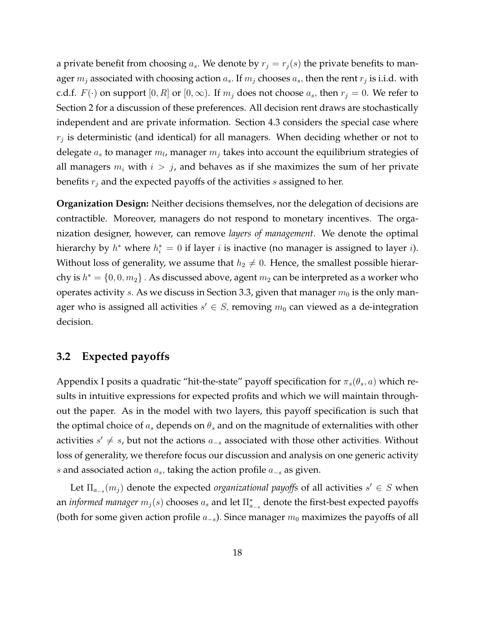a private benefit from choosing  $a_s$ . We denote by  $r_j = r_j(s)$  the private benefits to manager  $m_j$  associated with choosing action  $a_s$ . If  $m_j$  chooses  $a_s$ , then the rent  $r_j$  is i.i.d. with c.d.f.  $F(\cdot)$  on support  $[0, R]$  or  $[0,\infty)$ . If  $m_j$  does not choose  $a_s$ , then  $r_j = 0$ . We refer to Section [2](#page-8-0) for a discussion of these preferences. All decision rent draws are stochastically independent and are private information. Section [4.3](#page-28-0) considers the special case where  $r_j$  is deterministic (and identical) for all managers. When deciding whether or not to delegate  $a_s$  to manager  $m_l$ , manager  $m_j$  takes into account the equilibrium strategies of all managers  $m_i$  with  $i > j$ , and behaves as if she maximizes the sum of her private benefits  $r_i$  and the expected payoffs of the activities s assigned to her.

**Organization Design:** Neither decisions themselves, nor the delegation of decisions are contractible. Moreover, managers do not respond to monetary incentives. The organization designer, however, can remove *layers of management*. We denote the optimal hierarchy by  $h^*$  where  $h_i^* = 0$  if layer  $i$  is inactive (no manager is assigned to layer  $i$ ). Without loss of generality, we assume that  $h_2 \neq 0$ . Hence, the smallest possible hierarchy is  $h^* = \{0,0,m_2\}$  . As discussed above, agent  $m_2$  can be interpreted as a worker who operates activity s. As we discuss in Section [3.3,](#page-20-0) given that manager  $m_0$  is the only manager who is assigned all activities  $s' \in S$ , removing  $m_0$  can viewed as a de-integration decision.

### <span id="page-18-0"></span>**3.2 Expected payoffs**

Appendix I posits a quadratic "hit-the-state" payoff specification for  $\pi_s(\theta_s, a)$  which results in intuitive expressions for expected profits and which we will maintain throughout the paper. As in the model with two layers, this payoff specification is such that the optimal choice of  $a_s$  depends on  $\theta_s$  and on the magnitude of externalities with other activities  $s' \neq s$ , but not the actions  $a_{-s}$  associated with those other activities. Without loss of generality, we therefore focus our discussion and analysis on one generic activity *s* and associated action  $a_s$ , taking the action profile  $a_{-s}$  as given.

Let  $\Pi_{a_{-s}}(m_j)$  denote the expected *organizational payoffs* of all activities  $s' \in S$  when an *informed manager*  $m_j(s)$  chooses  $a_s$  and let  $\Pi_{a_{-s}}^*$  denote the first-best expected payoffs (both for some given action profile  $a_{-s}$ ). Since manager  $m_0$  maximizes the payoffs of all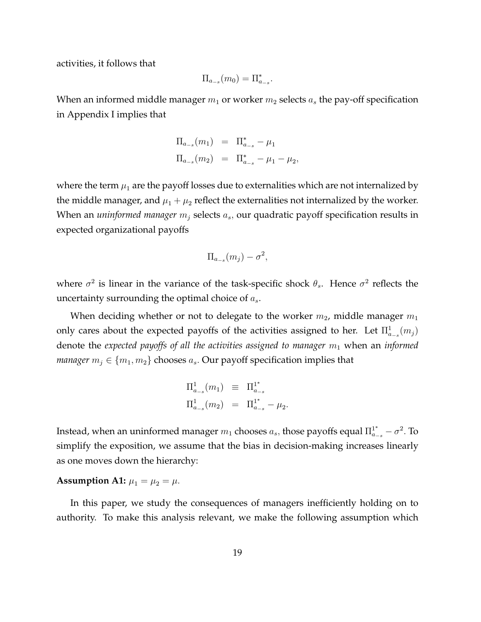activities, it follows that

$$
\Pi_{a_{-s}}(m_0) = \Pi_{a_{-s}}^*.
$$

When an informed middle manager  $m_1$  or worker  $m_2$  selects  $a_s$  the pay-off specification in Appendix I implies that

$$
\Pi_{a_{-s}}(m_1) = \Pi_{a_{-s}}^* - \mu_1
$$
  
\n
$$
\Pi_{a_{-s}}(m_2) = \Pi_{a_{-s}}^* - \mu_1 - \mu_2,
$$

where the term  $\mu_1$  are the payoff losses due to externalities which are not internalized by the middle manager, and  $\mu_1 + \mu_2$  reflect the externalities not internalized by the worker. When an *uninformed manager*  $m_j$  selects  $a_s$ , our quadratic payoff specification results in expected organizational payoffs

$$
\Pi_{a_{-s}}(m_j) - \sigma^2,
$$

where  $\sigma^2$  is linear in the variance of the task-specific shock  $\theta_s$ . Hence  $\sigma^2$  reflects the uncertainty surrounding the optimal choice of  $a_s$ .

When deciding whether or not to delegate to the worker  $m_2$ , middle manager  $m_1$ only cares about the expected payoffs of the activities assigned to her. Let  $\Pi_{a_{-s}}^1(m_j)$ denote the *expected payoffs of all the activities assigned to manager*  $m_1$  when an *informed manager*  $m_j \in \{m_1, m_2\}$  chooses  $a_s$ . Our payoff specification implies that

$$
\Pi_{a_{-s}}^1(m_1) \equiv \Pi_{a_{-s}}^{1^*}
$$
  

$$
\Pi_{a_{-s}}^1(m_2) = \Pi_{a_{-s}}^{1^*} - \mu_2
$$

:

Instead, when an uninformed manager  $m_1$  chooses  $a_s$ , those payoffs equal  $\Pi_{a_{-s}}^{1^*}-\sigma^2$ . To simplify the exposition, we assume that the bias in decision-making increases linearly as one moves down the hierarchy:

#### **Assumption A1:**  $\mu_1 = \mu_2 = \mu$ .

In this paper, we study the consequences of managers inefficiently holding on to authority. To make this analysis relevant, we make the following assumption which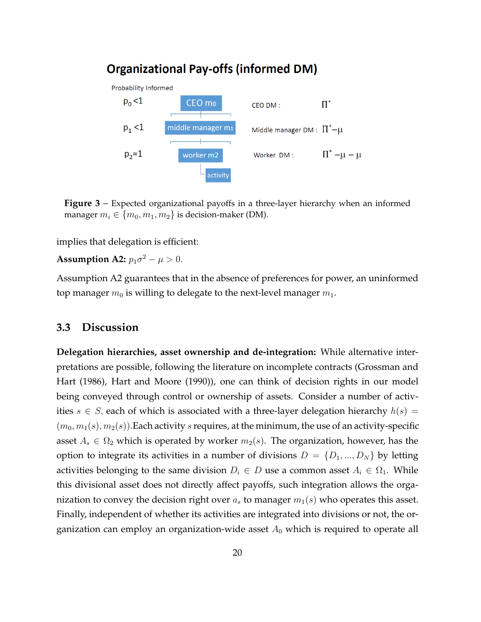## **Organizational Pay-offs (informed DM)**



activity

**Figure 3** – Expected organizational payoffs in a three-layer hierarchy when an informed manager  $m_i \in \{m_0, m_1, m_2\}$  is decision-maker (DM).

implies that delegation is efficient:

**Assumption A2:**  $p_1 \sigma^2 - \mu > 0$ .

Assumption A2 guarantees that in the absence of preferences for power, an uninformed top manager  $m_0$  is willing to delegate to the next-level manager  $m_1$ .

### <span id="page-20-0"></span>**3.3 Discussion**

**Delegation hierarchies, asset ownership and de-integration:** While alternative interpretations are possible, following the literature on incomplete contracts (Grossman and Hart (1986), Hart and Moore (1990)), one can think of decision rights in our model being conveyed through control or ownership of assets. Consider a number of activities  $s \in S$ , each of which is associated with a three-layer delegation hierarchy  $h(s) =$  $(m_0, m_1(s), m_2(s))$ . Each activity s requires, at the minimum, the use of an activity-specific asset  $A_s \in \Omega_2$  which is operated by worker  $m_2(s)$ . The organization, however, has the option to integrate its activities in a number of divisions  $D = \{D_1, ..., D_N\}$  by letting activities belonging to the same division  $D_i \in D$  use a common asset  $A_i \in \Omega_1$ . While this divisional asset does not directly affect payoffs, such integration allows the organization to convey the decision right over  $a_s$  to manager  $m_1(s)$  who operates this asset. Finally, independent of whether its activities are integrated into divisions or not, the organization can employ an organization-wide asset  $A_0$  which is required to operate all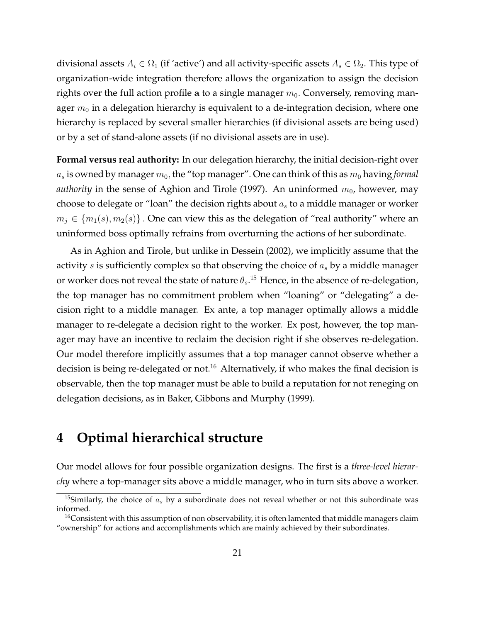divisional assets  $A_i \in \Omega_1$  (if 'active') and all activity-specific assets  $A_s \in \Omega_2$ . This type of organization-wide integration therefore allows the organization to assign the decision rights over the full action profile a to a single manager  $m_0$ . Conversely, removing manager  $m_0$  in a delegation hierarchy is equivalent to a de-integration decision, where one hierarchy is replaced by several smaller hierarchies (if divisional assets are being used) or by a set of stand-alone assets (if no divisional assets are in use).

**Formal versus real authority:** In our delegation hierarchy, the initial decision-right over  $a_s$  is owned by manager  $m_0$ , the "top manager". One can think of this as  $m_0$  having *formal authority* in the sense of Aghion and Tirole (1997). An uninformed  $m_0$ , however, may choose to delegate or "loan" the decision rights about  $a_s$  to a middle manager or worker  $m_i \in \{m_1(s), m_2(s)\}\.$  One can view this as the delegation of "real authority" where an uninformed boss optimally refrains from overturning the actions of her subordinate.

As in Aghion and Tirole, but unlike in Dessein (2002), we implicitly assume that the activity  $s$  is sufficiently complex so that observing the choice of  $a_s$  by a middle manager or worker does not reveal the state of nature  $\theta_s$ .<sup>[15](#page-21-0)</sup> Hence, in the absence of re-delegation, the top manager has no commitment problem when "loaning" or "delegating" a decision right to a middle manager. Ex ante, a top manager optimally allows a middle manager to re-delegate a decision right to the worker. Ex post, however, the top manager may have an incentive to reclaim the decision right if she observes re-delegation. Our model therefore implicitly assumes that a top manager cannot observe whether a decision is being re-delegated or not.<sup>[16](#page-21-1)</sup> Alternatively, if who makes the final decision is observable, then the top manager must be able to build a reputation for not reneging on delegation decisions, as in Baker, Gibbons and Murphy (1999).

# **4 Optimal hierarchical structure**

Our model allows for four possible organization designs. The first is a *three-level hierarchy* where a top-manager sits above a middle manager, who in turn sits above a worker.

<span id="page-21-0"></span><sup>&</sup>lt;sup>15</sup>Similarly, the choice of  $a_s$  by a subordinate does not reveal whether or not this subordinate was informed.

<span id="page-21-1"></span><sup>&</sup>lt;sup>16</sup>Consistent with this assumption of non observability, it is often lamented that middle managers claim "ownership" for actions and accomplishments which are mainly achieved by their subordinates.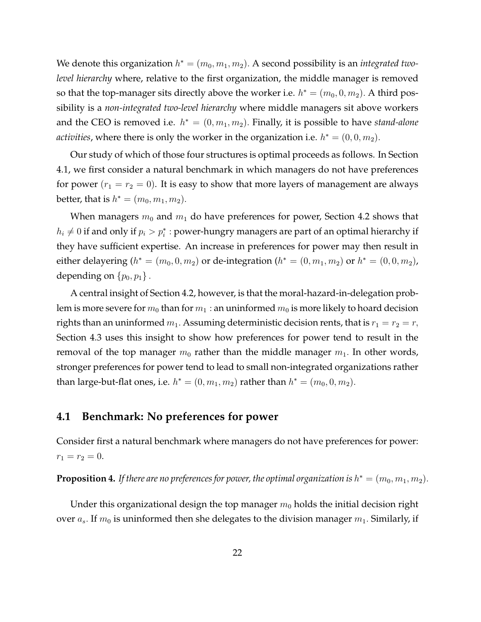We denote this organization  $h^* = (m_0, m_1, m_2)$ . A second possibility is an *integrated twolevel hierarchy* where, relative to the first organization, the middle manager is removed so that the top-manager sits directly above the worker i.e.  $h^* = (m_0, 0, m_2)$ . A third possibility is a *non-integrated two-level hierarchy* where middle managers sit above workers and the CEO is removed i.e.  $h^* = (0, m_1, m_2)$ . Finally, it is possible to have *stand-alone activities,* where there is only the worker in the organization i.e.  $h^* = (0,0,m_2)$ .

Our study of which of those four structures is optimal proceeds as follows. In Section [4.1,](#page-22-0) we first consider a natural benchmark in which managers do not have preferences for power  $(r_1 = r_2 = 0)$ . It is easy to show that more layers of management are always better, that is  $h^* = (m_0, m_1, m_2)$ .

When managers  $m_0$  and  $m_1$  do have preferences for power, Section [4.2](#page-23-0) shows that  $h_i\neq 0$  if and only if  $p_i>p_i^*$  : power-hungry managers are part of an optimal hierarchy if they have sufficient expertise. An increase in preferences for power may then result in either delayering ( $h^* = (m_0, 0, m_2)$  or de-integration ( $h^* = (0, m_1, m_2)$  or  $h^* = (0, 0, m_2)$ , depending on  $\{p_0, p_1\}$ .

A central insight of Section [4.2,](#page-23-0) however, is that the moral-hazard-in-delegation problem is more severe for  $m_0$  than for  $m_1$  : an uninformed  $m_0$  is more likely to hoard decision rights than an uninformed  $m_1$ . Assuming deterministic decision rents, that is  $r_1 = r_2 = r$ , Section [4.3](#page-28-0) uses this insight to show how preferences for power tend to result in the removal of the top manager  $m_0$  rather than the middle manager  $m_1$ . In other words, stronger preferences for power tend to lead to small non-integrated organizations rather than large-but-flat ones, i.e.  $h^* = (0, m_1, m_2)$  rather than  $h^* = (m_0, 0, m_2)$ .

### <span id="page-22-0"></span>**4.1 Benchmark: No preferences for power**

Consider first a natural benchmark where managers do not have preferences for power:  $r_1 = r_2 = 0.$ 

**Proposition 4.** If there are no preferences for power, the optimal organization is  $h^* = (m_0, m_1, m_2)$ .

Under this organizational design the top manager  $m_0$  holds the initial decision right over  $a_s$ . If  $m_0$  is uninformed then she delegates to the division manager  $m_1$ . Similarly, if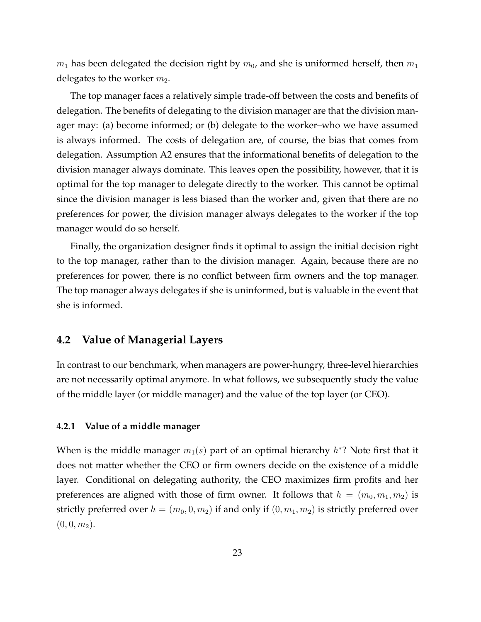$m_1$  has been delegated the decision right by  $m_0$ , and she is uniformed herself, then  $m_1$ delegates to the worker  $m_2$ .

The top manager faces a relatively simple trade-off between the costs and benefits of delegation. The benefits of delegating to the division manager are that the division manager may: (a) become informed; or (b) delegate to the worker–who we have assumed is always informed. The costs of delegation are, of course, the bias that comes from delegation. Assumption A2 ensures that the informational benefits of delegation to the division manager always dominate. This leaves open the possibility, however, that it is optimal for the top manager to delegate directly to the worker. This cannot be optimal since the division manager is less biased than the worker and, given that there are no preferences for power, the division manager always delegates to the worker if the top manager would do so herself.

Finally, the organization designer finds it optimal to assign the initial decision right to the top manager, rather than to the division manager. Again, because there are no preferences for power, there is no conflict between firm owners and the top manager. The top manager always delegates if she is uninformed, but is valuable in the event that she is informed.

#### <span id="page-23-0"></span>**4.2 Value of Managerial Layers**

In contrast to our benchmark, when managers are power-hungry, three-level hierarchies are not necessarily optimal anymore. In what follows, we subsequently study the value of the middle layer (or middle manager) and the value of the top layer (or CEO).

#### **4.2.1 Value of a middle manager**

When is the middle manager  $m_1(s)$  part of an optimal hierarchy  $h^* ?$  Note first that it does not matter whether the CEO or firm owners decide on the existence of a middle layer. Conditional on delegating authority, the CEO maximizes firm profits and her preferences are aligned with those of firm owner. It follows that  $h = (m_0, m_1, m_2)$  is strictly preferred over  $h = (m_0, 0, m_2)$  if and only if  $(0, m_1, m_2)$  is strictly preferred over  $(0, 0, m_2).$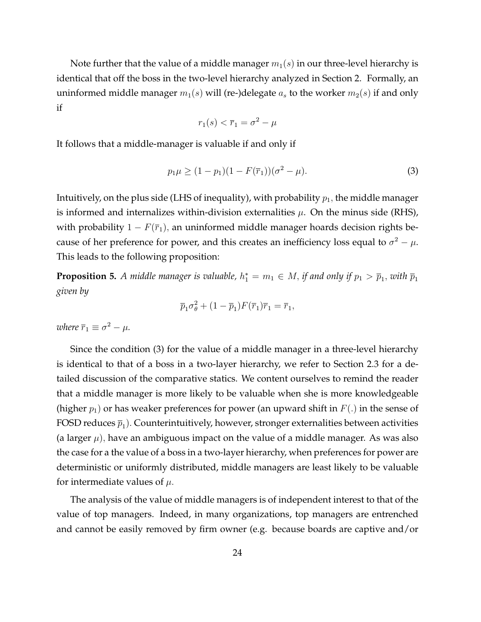Note further that the value of a middle manager  $m_1(s)$  in our three-level hierarchy is identical that off the boss in the two-level hierarchy analyzed in Section [2.](#page-8-0) Formally, an uninformed middle manager  $m_1(s)$  will (re-)delegate  $a_s$  to the worker  $m_2(s)$  if and only if

$$
r_1(s) < \overline{r}_1 = \sigma^2 - \mu
$$

It follows that a middle-manager is valuable if and only if

<span id="page-24-0"></span>
$$
p_1 \mu \ge (1 - p_1)(1 - F(\overline{r}_1)) (\sigma^2 - \mu).
$$
 (3)

Intuitively, on the plus side (LHS of inequality), with probability  $p_1$ , the middle manager is informed and internalizes within-division externalities  $\mu$ . On the minus side (RHS), with probability  $1 - F(\overline{r}_1)$ , an uninformed middle manager hoards decision rights because of her preference for power, and this creates an inefficiency loss equal to  $\sigma^2 - \mu$ . This leads to the following proposition:

**Proposition 5.** A middle manager is valuable,  $h_1^* = m_1 \in M$ , if and only if  $p_1 > \overline{p}_1$ , with  $\overline{p}_1$ *given by*

$$
\overline{p}_1 \sigma_\theta^2 + (1 - \overline{p}_1) F(\overline{r}_1) \overline{r}_1 = \overline{r}_1,
$$

*where*  $\overline{r}_1 \equiv \sigma^2 - \mu$ .

Since the condition [\(3\)](#page-24-0) for the value of a middle manager in a three-level hierarchy is identical to that of a boss in a two-layer hierarchy, we refer to Section [2.3](#page-11-2) for a detailed discussion of the comparative statics. We content ourselves to remind the reader that a middle manager is more likely to be valuable when she is more knowledgeable (higher  $p_1$ ) or has weaker preferences for power (an upward shift in  $F(.)$ ) in the sense of FOSD reduces  $\overline{p}_1$ ). Counterintuitively, however, stronger externalities between activities (a larger  $\mu$ ), have an ambiguous impact on the value of a middle manager. As was also the case for a the value of a boss in a two-layer hierarchy, when preferences for power are deterministic or uniformly distributed, middle managers are least likely to be valuable for intermediate values of  $\mu$ .

The analysis of the value of middle managers is of independent interest to that of the value of top managers. Indeed, in many organizations, top managers are entrenched and cannot be easily removed by firm owner (e.g. because boards are captive and/or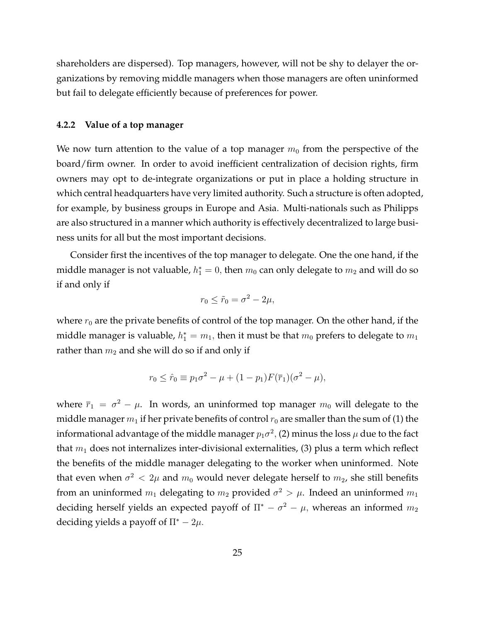shareholders are dispersed). Top managers, however, will not be shy to delayer the organizations by removing middle managers when those managers are often uninformed but fail to delegate efficiently because of preferences for power.

#### **4.2.2 Value of a top manager**

We now turn attention to the value of a top manager  $m_0$  from the perspective of the board/firm owner. In order to avoid inefficient centralization of decision rights, firm owners may opt to de-integrate organizations or put in place a holding structure in which central headquarters have very limited authority. Such a structure is often adopted, for example, by business groups in Europe and Asia. Multi-nationals such as Philipps are also structured in a manner which authority is effectively decentralized to large business units for all but the most important decisions.

Consider first the incentives of the top manager to delegate. One the one hand, if the middle manager is not valuable,  $h_1^*=0,$  then  $m_0$  can only delegate to  $m_2$  and will do so if and only if

$$
r_0 \leq \tilde{r}_0 = \sigma^2 - 2\mu,
$$

where  $r_0$  are the private benefits of control of the top manager. On the other hand, if the middle manager is valuable,  $h_1^*=m_1,$  then it must be that  $m_0$  prefers to delegate to  $m_1$ rather than  $m_2$  and she will do so if and only if

$$
r_0 \leq \hat{r}_0 \equiv p_1 \sigma^2 - \mu + (1 - p_1) F(\bar{r}_1) (\sigma^2 - \mu),
$$

where  $\bar{r}_1 = \sigma^2 - \mu$ . In words, an uninformed top manager  $m_0$  will delegate to the middle manager  $m_1$  if her private benefits of control  $r_0$  are smaller than the sum of (1) the informational advantage of the middle manager  $p_1\sigma^2$ , (2) minus the loss  $\mu$  due to the fact that  $m_1$  does not internalizes inter-divisional externalities, (3) plus a term which reflect the benefits of the middle manager delegating to the worker when uninformed. Note that even when  $\sigma^2 < 2\mu$  and  $m_0$  would never delegate herself to  $m_2$ , she still benefits from an uninformed  $m_1$  delegating to  $m_2$  provided  $\sigma^2 > \mu$ . Indeed an uninformed  $m_1$ deciding herself yields an expected payoff of  $\Pi^* - \sigma^2 - \mu$ , whereas an informed  $m_2$ deciding yields a payoff of  $\Pi^* - 2\mu$ .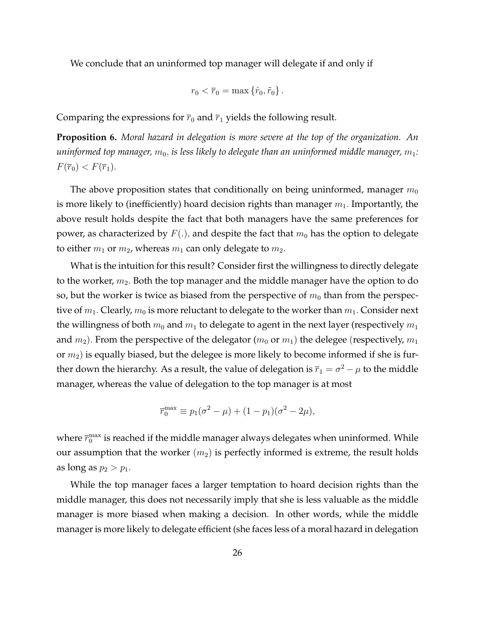We conclude that an uninformed top manager will delegate if and only if

$$
r_0 < \overline{r}_0 = \max \left\{ \hat{r}_0, \tilde{r}_0 \right\}.
$$

Comparing the expressions for  $\bar{r}_0$  and  $\bar{r}_1$  yields the following result.

<span id="page-26-0"></span>**Proposition 6.** *Moral hazard in delegation is more severe at the top of the organization. An uninformed top manager,*  $m_0$ , *is less likely to delegate than an uninformed middle manager,*  $m_1$ :  $F(\overline{r}_0) < F(\overline{r}_1).$ 

The above proposition states that conditionally on being uninformed, manager  $m_0$ is more likely to (inefficiently) hoard decision rights than manager  $m_1$ . Importantly, the above result holds despite the fact that both managers have the same preferences for power, as characterized by  $F(.)$ , and despite the fact that  $m_0$  has the option to delegate to either  $m_1$  or  $m_2$ , whereas  $m_1$  can only delegate to  $m_2$ .

What is the intuition for this result? Consider first the willingness to directly delegate to the worker,  $m_2$ . Both the top manager and the middle manager have the option to do so, but the worker is twice as biased from the perspective of  $m_0$  than from the perspective of  $m_1$ . Clearly,  $m_0$  is more reluctant to delegate to the worker than  $m_1$ . Consider next the willingness of both  $m_0$  and  $m_1$  to delegate to agent in the next layer (respectively  $m_1$ and  $m_2$ ). From the perspective of the delegator ( $m_0$  or  $m_1$ ) the delegee (respectively,  $m_1$ ) or  $m_2$ ) is equally biased, but the delegee is more likely to become informed if she is further down the hierarchy. As a result, the value of delegation is  $\overline{r}_1 = \sigma^2 - \mu$  to the middle manager, whereas the value of delegation to the top manager is at most

$$
\overline{r}_0^{\max} \equiv p_1(\sigma^2 - \mu) + (1 - p_1)(\sigma^2 - 2\mu),
$$

where  $\bar{r}_0^\text{max}$  is reached if the middle manager always delegates when uninformed. While our assumption that the worker  $(m_2)$  is perfectly informed is extreme, the result holds as long as  $p_2 > p_1$ .

While the top manager faces a larger temptation to hoard decision rights than the middle manager, this does not necessarily imply that she is less valuable as the middle manager is more biased when making a decision. In other words, while the middle manager is more likely to delegate efficient (she faces less of a moral hazard in delegation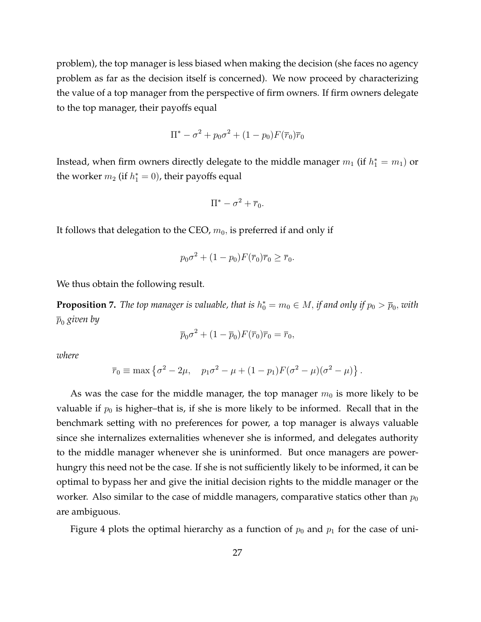problem), the top manager is less biased when making the decision (she faces no agency problem as far as the decision itself is concerned). We now proceed by characterizing the value of a top manager from the perspective of firm owners. If firm owners delegate to the top manager, their payoffs equal

$$
\Pi^* - \sigma^2 + p_0 \sigma^2 + (1 - p_0) F(\overline{r}_0) \overline{r}_0
$$

Instead, when firm owners directly delegate to the middle manager  $m_1$  (if  $h_1^\ast=m_1)$  or the worker  $m_2$  (if  $h_1^*=0$ ), their payoffs equal

$$
\Pi^* - \sigma^2 + \overline{r}_0.
$$

It follows that delegation to the CEO,  $m_0$ , is preferred if and only if

$$
p_0 \sigma^2 + (1 - p_0) F(\bar{r}_0) \bar{r}_0 \ge \bar{r}_0.
$$

We thus obtain the following result.

<span id="page-27-0"></span>**Proposition 7.** The top manager is valuable, that is  $h^*_0 = m_0 \in M$ , if and only if  $p_0 > \overline{p}_0,$  with  $\bar{p}_0$  *given by* 

$$
\overline{p}_0 \sigma^2 + (1 - \overline{p}_0) F(\overline{r}_0) \overline{r}_0 = \overline{r}_0,
$$

*where*

$$
\overline{r}_0 \equiv \max \left\{ \sigma^2 - 2\mu, \quad p_1 \sigma^2 - \mu + (1 - p_1) F (\sigma^2 - \mu) (\sigma^2 - \mu) \right\}.
$$

As was the case for the middle manager, the top manager  $m_0$  is more likely to be valuable if  $p_0$  is higher–that is, if she is more likely to be informed. Recall that in the benchmark setting with no preferences for power, a top manager is always valuable since she internalizes externalities whenever she is informed, and delegates authority to the middle manager whenever she is uninformed. But once managers are powerhungry this need not be the case. If she is not sufficiently likely to be informed, it can be optimal to bypass her and give the initial decision rights to the middle manager or the worker. Also similar to the case of middle managers, comparative statics other than  $p_0$ are ambiguous.

Figure [4](#page-28-1) plots the optimal hierarchy as a function of  $p_0$  and  $p_1$  for the case of uni-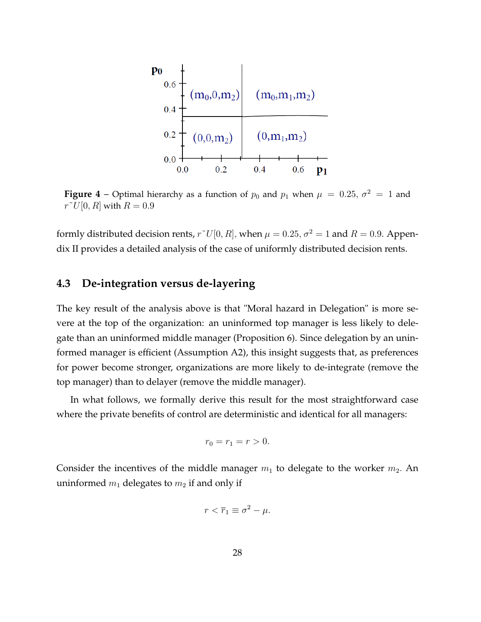<span id="page-28-1"></span>

**Figure 4** – Optimal hierarchy as a function of  $p_0$  and  $p_1$  when  $\mu = 0.25$ ,  $\sigma^2 = 1$  and  $r^{\sim}U[0,R]$  with  $R=0.9$ 

formly distributed decision rents,  $r^{\dagger}U[0, R]$ , when  $\mu = 0.25$ ,  $\sigma^2 = 1$  and  $R = 0.9$ . Appendix II provides a detailed analysis of the case of uniformly distributed decision rents.

### <span id="page-28-0"></span>**4.3 De-integration versus de-layering**

The key result of the analysis above is that "Moral hazard in Delegation" is more severe at the top of the organization: an uninformed top manager is less likely to delegate than an uninformed middle manager (Proposition [6\)](#page-26-0). Since delegation by an uninformed manager is efficient (Assumption A2), this insight suggests that, as preferences for power become stronger, organizations are more likely to de-integrate (remove the top manager) than to delayer (remove the middle manager).

In what follows, we formally derive this result for the most straightforward case where the private benefits of control are deterministic and identical for all managers:

$$
r_0 = r_1 = r > 0.
$$

Consider the incentives of the middle manager  $m_1$  to delegate to the worker  $m_2$ . An uninformed  $m_1$  delegates to  $m_2$  if and only if

$$
r < \overline{r}_1 \equiv \sigma^2 - \mu.
$$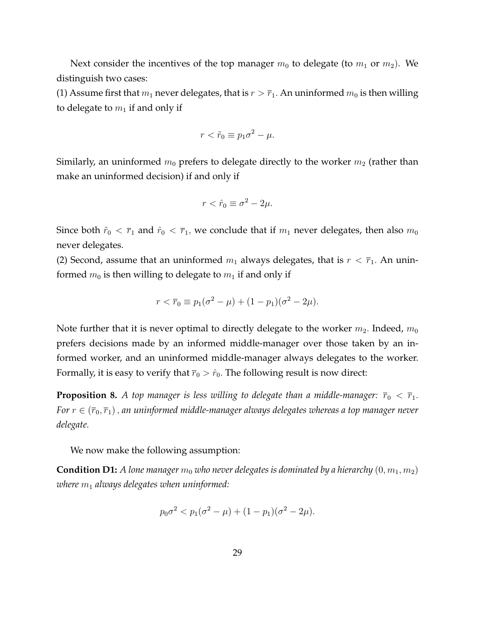Next consider the incentives of the top manager  $m_0$  to delegate (to  $m_1$  or  $m_2$ ). We distinguish two cases:

(1) Assume first that  $m_1$  never delegates, that is  $r > \bar{r}_1$ . An uninformed  $m_0$  is then willing to delegate to  $m_1$  if and only if

$$
r < \tilde{r}_0 \equiv p_1 \sigma^2 - \mu.
$$

Similarly, an uninformed  $m_0$  prefers to delegate directly to the worker  $m_2$  (rather than make an uninformed decision) if and only if

$$
r < \hat{r}_0 \equiv \sigma^2 - 2\mu.
$$

Since both  $\tilde{r}_0 < \bar{r}_1$  and  $\hat{r}_0 < \bar{r}_1$ , we conclude that if  $m_1$  never delegates, then also  $m_0$ never delegates.

(2) Second, assume that an uninformed  $m_1$  always delegates, that is  $r < \bar{r}_1$ . An uninformed  $m_0$  is then willing to delegate to  $m_1$  if and only if

$$
r < \overline{r}_0 \equiv p_1(\sigma^2 - \mu) + (1 - p_1)(\sigma^2 - 2\mu).
$$

Note further that it is never optimal to directly delegate to the worker  $m_2$ . Indeed,  $m_0$ prefers decisions made by an informed middle-manager over those taken by an informed worker, and an uninformed middle-manager always delegates to the worker. Formally, it is easy to verify that  $\bar{r}_0 > \hat{r}_0$ . The following result is now direct:

**Proposition 8.** *A top manager is less willing to delegate than a middle-manager:*  $\overline{r}_0 < \overline{r}_1$ . *For*  $r \in (\overline{r}_0, \overline{r}_1)$ , *an uninformed middle-manager always delegates whereas a top manager never delegate.*

We now make the following assumption:

**Condition D1:** A lone manager  $m_0$  who never delegates is dominated by a hierarchy  $(0, m_1, m_2)$ *where*  $m_1$  *always delegates when uninformed:* 

$$
p_0 \sigma^2 < p_1(\sigma^2 - \mu) + (1 - p_1)(\sigma^2 - 2\mu).
$$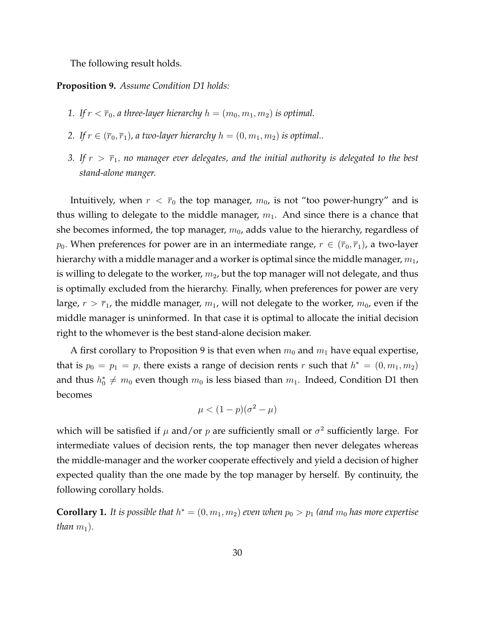The following result holds.

#### <span id="page-30-0"></span>**Proposition 9.** *Assume Condition D1 holds:*

- *1.* If  $r < \overline{r}_0$ , *a three-layer hierarchy*  $h = (m_0, m_1, m_2)$  *is optimal.*
- 2. If  $r \in (\overline{r}_0, \overline{r}_1)$ , a two-layer hierarchy  $h = (0, m_1, m_2)$  *is optimal..*
- *3. If*  $r > \bar{r}_1$ , no manager ever delegates, and the initial authority is delegated to the best *stand-alone manger.*

Intuitively, when  $r < \bar{r}_0$  the top manager,  $m_0$ , is not "too power-hungry" and is thus willing to delegate to the middle manager,  $m_1$ . And since there is a chance that she becomes informed, the top manager,  $m_0$ , adds value to the hierarchy, regardless of  $p_0$ . When preferences for power are in an intermediate range,  $r \in (\bar{r}_0, \bar{r}_1)$ , a two-layer hierarchy with a middle manager and a worker is optimal since the middle manager,  $m_1$ , is willing to delegate to the worker,  $m_2$ , but the top manager will not delegate, and thus is optimally excluded from the hierarchy. Finally, when preferences for power are very large,  $r > \bar{r}_1$ , the middle manager,  $m_1$ , will not delegate to the worker,  $m_0$ , even if the middle manager is uninformed. In that case it is optimal to allocate the initial decision right to the whomever is the best stand-alone decision maker.

A first corollary to Proposition [9](#page-30-0) is that even when  $m_0$  and  $m_1$  have equal expertise, that is  $p_0 = p_1 = p$ , there exists a range of decision rents  $r$  such that  $h^* = (0, m_1, m_2)$ and thus  $h_0^*\neq m_0$  even though  $m_0$  is less biased than  $m_1$ . Indeed, Condition D1 then becomes

$$
\mu < (1 - p)(\sigma^2 - \mu)
$$

which will be satisfied if  $\mu$  and/or  $p$  are sufficiently small or  $\sigma^2$  sufficiently large. For intermediate values of decision rents, the top manager then never delegates whereas the middle-manager and the worker cooperate effectively and yield a decision of higher expected quality than the one made by the top manager by herself. By continuity, the following corollary holds.

**Corollary 1.** It is possible that  $h^* = (0, m_1, m_2)$  even when  $p_0 > p_1$  (and  $m_0$  has more expertise *than*  $m_1$ ).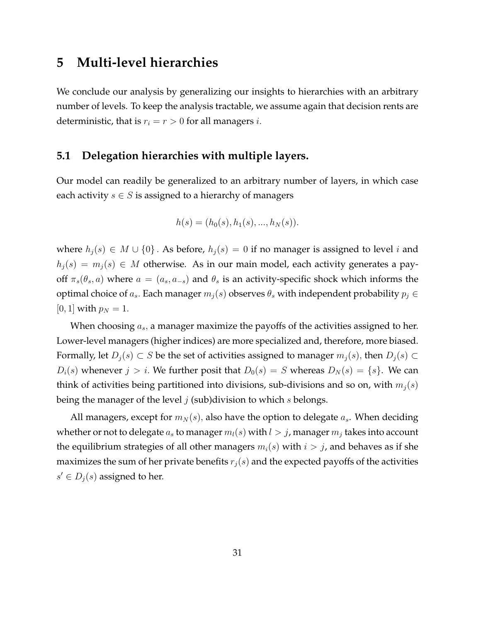# **5 Multi-level hierarchies**

We conclude our analysis by generalizing our insights to hierarchies with an arbitrary number of levels. To keep the analysis tractable, we assume again that decision rents are deterministic, that is  $r_i = r > 0$  for all managers *i*.

### **5.1 Delegation hierarchies with multiple layers.**

Our model can readily be generalized to an arbitrary number of layers, in which case each activity  $s \in S$  is assigned to a hierarchy of managers

$$
h(s) = (h_0(s), h_1(s), ..., h_N(s)).
$$

where  $h_j(s) \in M \cup \{0\}$ . As before,  $h_j(s) = 0$  if no manager is assigned to level i and  $h_j(s) = m_j(s) \in M$  otherwise. As in our main model, each activity generates a payoff  $\pi_s(\theta_s, a)$  where  $a = (a_s, a_{-s})$  and  $\theta_s$  is an activity-specific shock which informs the optimal choice of  $a_s$ . Each manager  $m_j(s)$  observes  $\theta_s$  with independent probability  $p_j \in$ [0, 1] with  $p_N = 1$ .

When choosing  $a_s$ , a manager maximize the payoffs of the activities assigned to her. Lower-level managers (higher indices) are more specialized and, therefore, more biased. Formally, let  $D_j(s) \subset S$  be the set of activities assigned to manager  $m_j(s)$ , then  $D_j(s) \subset S$  $D_i(s)$  whenever  $j > i$ . We further posit that  $D_0(s) = S$  whereas  $D_N(s) = \{s\}$ . We can think of activities being partitioned into divisions, sub-divisions and so on, with  $m_j(s)$ being the manager of the level  $j$  (sub)division to which  $s$  belongs.

All managers, except for  $m_N(s)$ , also have the option to delegate  $a_s$ . When deciding whether or not to delegate  $a_s$  to manager  $m_l(s)$  with  $l > j$ , manager  $m_i$  takes into account the equilibrium strategies of all other managers  $m_i(s)$  with  $i > j$ , and behaves as if she maximizes the sum of her private benefits  $r_j(s)$  and the expected payoffs of the activities  $s' \in D_j(s)$  assigned to her.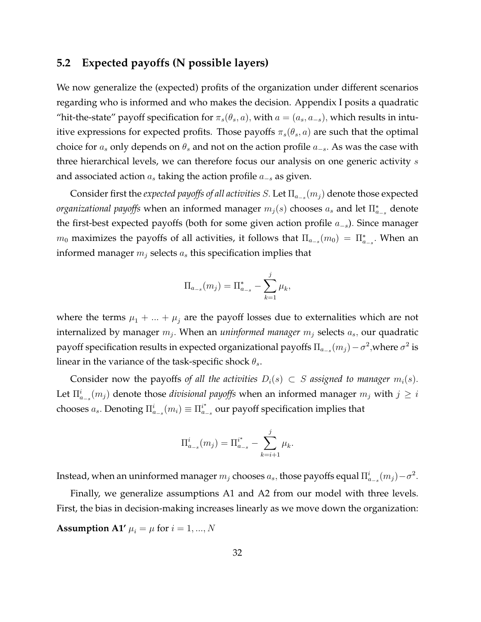#### **5.2 Expected payoffs (N possible layers)**

We now generalize the (expected) profits of the organization under different scenarios regarding who is informed and who makes the decision. Appendix I posits a quadratic "hit-the-state" payoff specification for  $\pi_s(\theta_s, a)$ , with  $a = (a_s, a_{-s})$ , which results in intuitive expressions for expected profits. Those payoffs  $\pi_s(\theta_s, a)$  are such that the optimal choice for  $a_s$  only depends on  $\theta_s$  and not on the action profile  $a_{-s}$ . As was the case with three hierarchical levels, we can therefore focus our analysis on one generic activity  $s$ and associated action  $a_s$  taking the action profile  $a_{-s}$  as given.

Consider first the *expected payoffs of all activities S*. Let  $\Pi_{a_{-s}}(m_j)$  denote those expected *organizational payoffs w*hen an informed manager  $m_j(s)$  chooses  $a_s$  and let  $\Pi_{a_{-s}}^*$  denote the first-best expected payoffs (both for some given action profile  $a_{-s}$ ). Since manager  $m_0$  maximizes the payoffs of all activities, it follows that  $\Pi_{a_{-s}}(m_0) = \Pi_{a_{-s}}^*$ . When an informed manager  $m_j$  selects  $a_s$  this specification implies that

$$
\Pi_{a_{-s}}(m_j) = \Pi_{a_{-s}}^* - \sum_{k=1}^j \mu_k,
$$

where the terms  $\mu_1 + ... + \mu_i$  are the payoff losses due to externalities which are not internalized by manager  $m_j$ . When an *uninformed manager*  $m_j$  selects  $a_s$ , our quadratic payoff specification results in expected organizational payoffs  $\Pi_{a_{-s}}(m_j) - \sigma^2,$  where  $\sigma^2$  is linear in the variance of the task-specific shock  $\theta_s$ .

Consider now the payoffs of all the activities  $D_i(s) \subset S$  assigned to manager  $m_i(s)$ . Let  $\Pi_{a_{-s}}^{i}(m_j)$  denote those *divisional payoffs* when an informed manager  $m_j$  with  $j \geq i$ chooses  $a_s$ . Denoting  $\Pi_{a_{-s}}^i(m_i) \equiv \Pi_{a_{-s}}^{i^*}$  our payoff specification implies that

$$
\Pi_{a_{-s}}^{i}(m_j) = \Pi_{a_{-s}}^{i^*} - \sum_{k=i+1}^{j} \mu_k.
$$

Instead, when an uninformed manager  $m_j$  chooses  $a_s$ , those payoffs equal  $\Pi_{a_{-s}}^i(m_j)-\sigma^2$ .

Finally, we generalize assumptions A1 and A2 from our model with three levels. First, the bias in decision-making increases linearly as we move down the organization:

**Assumption A1'**  $\mu_i = \mu$  for  $i = 1, ..., N$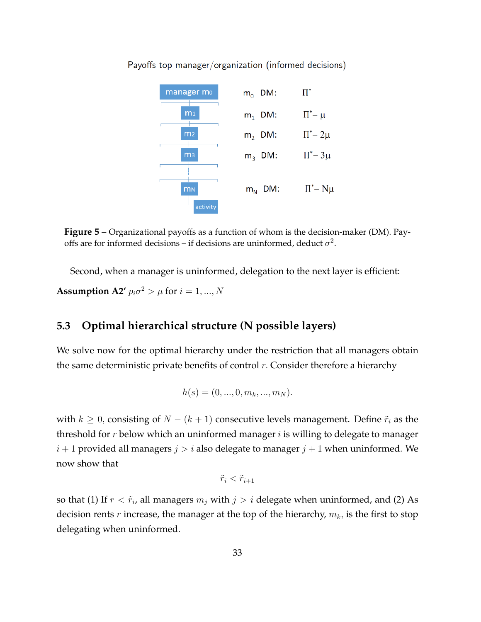

Payoffs top manager/organization (informed decisions)

**Figure 5** – Organizational payoffs as a function of whom is the decision-maker (DM). Payoffs are for informed decisions – if decisions are uninformed, deduct  $\sigma^2$ .

Second, when a manager is uninformed, delegation to the next layer is efficient: **Assumption A2'**  $p_i \sigma^2 > \mu$  for  $i = 1, ..., N$ 

## **5.3 Optimal hierarchical structure (N possible layers)**

We solve now for the optimal hierarchy under the restriction that all managers obtain the same deterministic private benefits of control  $r$ . Consider therefore a hierarchy

$$
h(s) = (0, ..., 0, m_k, ..., m_N).
$$

with  $k \geq 0$ , consisting of  $N - (k + 1)$  consecutive levels management. Define  $\tilde{r}_i$  as the threshold for  $r$  below which an uninformed manager  $i$  is willing to delegate to manager  $i + 1$  provided all managers  $j > i$  also delegate to manager  $j + 1$  when uninformed. We now show that

$$
\tilde{r}_i < \tilde{r}_{i+1}
$$

so that (1) If  $r < \tilde{r}_i$ , all managers  $m_j$  with  $j > i$  delegate when uninformed, and (2) As decision rents  $r$  increase, the manager at the top of the hierarchy,  $m_k$ , is the first to stop delegating when uninformed.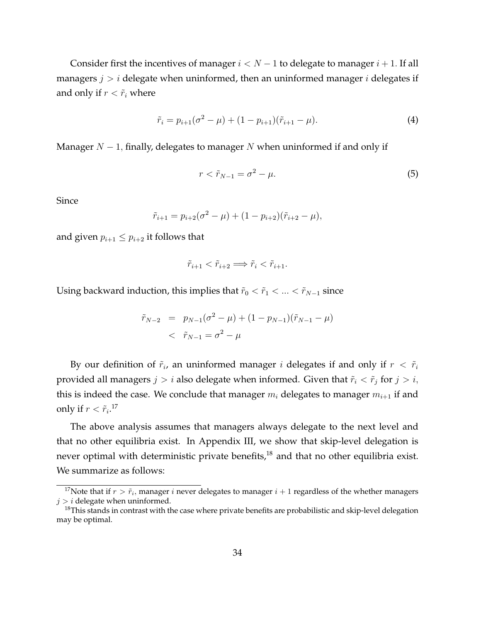Consider first the incentives of manager  $i < N - 1$  to delegate to manager  $i + 1$ . If all managers  $j > i$  delegate when uninformed, then an uninformed manager i delegates if and only if  $r < \tilde{r}_i$  where

<span id="page-34-2"></span>
$$
\tilde{r}_i = p_{i+1}(\sigma^2 - \mu) + (1 - p_{i+1})(\tilde{r}_{i+1} - \mu). \tag{4}
$$

Manager  $N-1$ , finally, delegates to manager N when uninformed if and only if

<span id="page-34-3"></span>
$$
r < \tilde{r}_{N-1} = \sigma^2 - \mu. \tag{5}
$$

Since

$$
\tilde{r}_{i+1} = p_{i+2}(\sigma^2 - \mu) + (1 - p_{i+2})(\tilde{r}_{i+2} - \mu),
$$

and given  $p_{i+1} \leq p_{i+2}$  it follows that

$$
\tilde{r}_{i+1} < \tilde{r}_{i+2} \Longrightarrow \tilde{r}_i < \tilde{r}_{i+1}.
$$

Using backward induction, this implies that  $\tilde{r}_0 < \tilde{r}_1 < ... < \tilde{r}_{N-1}$  since

$$
\tilde{r}_{N-2} = p_{N-1}(\sigma^2 - \mu) + (1 - p_{N-1})(\tilde{r}_{N-1} - \mu) \n< \tilde{r}_{N-1} = \sigma^2 - \mu
$$

By our definition of  $\tilde{r}_i$ , an uninformed manager i delegates if and only if  $r < \tilde{r}_i$ provided all managers  $j > i$  also delegate when informed. Given that  $\tilde{r}_i < \tilde{r}_j$  for  $j > i$ , this is indeed the case. We conclude that manager  $m_i$  delegates to manager  $m_{i+1}$  if and only if  $r < \widetilde{r}_{i}.^{17}$  $r < \widetilde{r}_{i}.^{17}$  $r < \widetilde{r}_{i}.^{17}$ 

The above analysis assumes that managers always delegate to the next level and that no other equilibria exist. In Appendix III, we show that skip-level delegation is never optimal with deterministic private benefits,<sup>[18](#page-34-1)</sup> and that no other equilibria exist. We summarize as follows:

<span id="page-34-0"></span><sup>&</sup>lt;sup>17</sup>Note that if  $r > \tilde{r}_i$ , manager i never delegates to manager  $i+1$  regardless of the whether managers  $j > i$  delegate when uninformed.

<span id="page-34-1"></span> $18$ This stands in contrast with the case where private benefits are probabilistic and skip-level delegation may be optimal.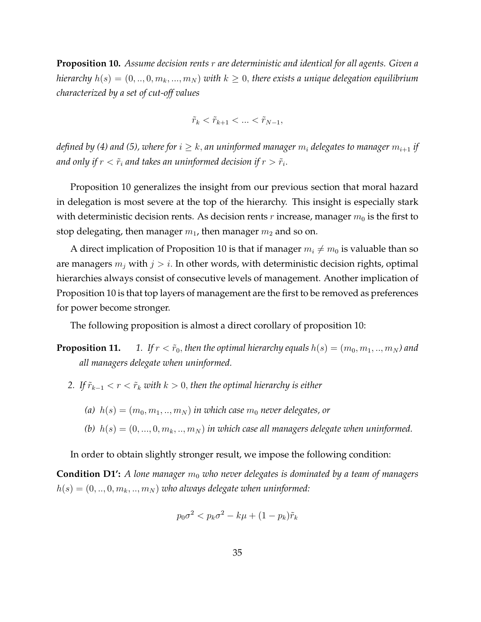<span id="page-35-0"></span>**Proposition 10.** *Assume decision rents* r *are deterministic and identical for all agents. Given a hierarchy*  $h(s) = (0, ..., 0, m_k, ..., m_N)$  *with*  $k \geq 0$ , there exists a unique delegation equilibrium *characterized by a set of cut-off values*

$$
\tilde{r}_k < \tilde{r}_{k+1} < \ldots < \tilde{r}_{N-1},
$$

*defined by [\(4\)](#page-34-2)* and [\(5\)](#page-34-3), where for  $i \geq k$ , an uninformed manager  $m_i$  delegates to manager  $m_{i+1}$  if and only if  $r<\tilde{r}_i$  and takes an uninformed decision if  $r>\tilde{r}_i.$ 

Proposition [10](#page-35-0) generalizes the insight from our previous section that moral hazard in delegation is most severe at the top of the hierarchy. This insight is especially stark with deterministic decision rents. As decision rents  $r$  increase, manager  $m_0$  is the first to stop delegating, then manager  $m_1$ , then manager  $m_2$  and so on.

A direct implication of Proposition [10](#page-35-0) is that if manager  $m_i \neq m_0$  is valuable than so are managers  $m_j$  with  $j > i$ . In other words, with deterministic decision rights, optimal hierarchies always consist of consecutive levels of management. Another implication of Proposition [10](#page-35-0) is that top layers of management are the first to be removed as preferences for power become stronger.

The following proposition is almost a direct corollary of proposition [10:](#page-35-0)

**Proposition 11.** *1. If*  $r < \tilde{r}_0$ , then the optimal hierarchy equals  $h(s) = (m_0, m_1, ..., m_N)$  and *all managers delegate when uninformed.*

- *2.* If  $\tilde{r}_{k-1} < r < \tilde{r}_k$  with  $k > 0$ , then the optimal hierarchy is either
	- (a)  $h(s) = (m_0, m_1, ..., m_N)$  *in which case*  $m_0$  *never delegates, or*
	- (b)  $h(s) = (0, ..., 0, m_k, ..., m_N)$  *in which case all managers delegate when uninformed.*

In order to obtain slightly stronger result, we impose the following condition:

**Condition D1':** *A lone manager*  $m_0$  *who never delegates is dominated by a team of managers*  $h(s) = (0, ..., 0, m_k, ..., m_N)$  *who always delegate when uninformed:* 

$$
p_0 \sigma^2 < p_k \sigma^2 - k\mu + (1 - p_k)\tilde{r}_k
$$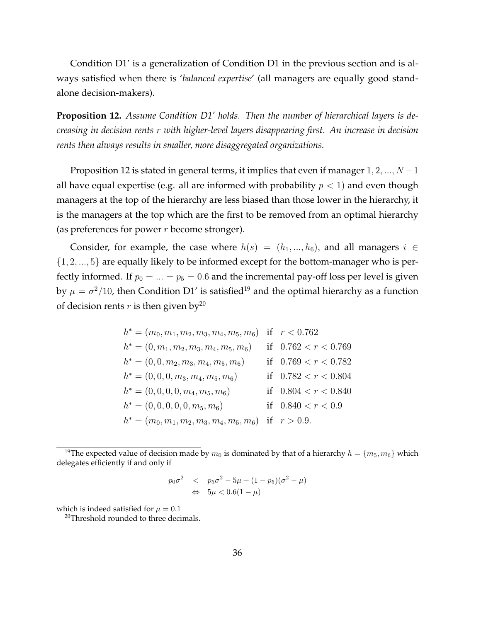Condition D1' is a generalization of Condition D1 in the previous section and is always satisfied when there is '*balanced expertise*' (all managers are equally good standalone decision-makers).

<span id="page-36-0"></span>**Proposition 12.** *Assume Condition D1' holds. Then the number of hierarchical layers is decreasing in decision rents* r *with higher-level layers disappearing first. An increase in decision rents then always results in smaller, more disaggregated organizations.*

Proposition [12](#page-36-0) is stated in general terms, it implies that even if manager  $1, 2, ..., N - 1$ all have equal expertise (e.g. all are informed with probability  $p < 1$ ) and even though managers at the top of the hierarchy are less biased than those lower in the hierarchy, it is the managers at the top which are the first to be removed from an optimal hierarchy (as preferences for power  $r$  become stronger).

Consider, for example, the case where  $h(s) = (h_1, ..., h_6)$ , and all managers  $i \in$  $\{1, 2, ..., 5\}$  are equally likely to be informed except for the bottom-manager who is perfectly informed. If  $p_0 = ... = p_5 = 0.6$  and the incremental pay-off loss per level is given by  $\mu = \sigma^2/10$ , then Condition D1' is satisfied<sup>[19](#page-36-1)</sup> and the optimal hierarchy as a function of decision rents r is then given by<sup>[20](#page-36-2)</sup>

$$
h^* = (m_0, m_1, m_2, m_3, m_4, m_5, m_6)
$$
 if  $r < 0.762$   
\n
$$
h^* = (0, m_1, m_2, m_3, m_4, m_5, m_6)
$$
 if  $0.762 < r < 0.769$   
\n
$$
h^* = (0, 0, m_2, m_3, m_4, m_5, m_6)
$$
 if  $0.769 < r < 0.782$   
\n
$$
h^* = (0, 0, 0, m_3, m_4, m_5, m_6)
$$
 if  $0.782 < r < 0.804$   
\n
$$
h^* = (0, 0, 0, 0, m_4, m_5, m_6)
$$
 if  $0.804 < r < 0.840$   
\n
$$
h^* = (0, 0, 0, 0, m_5, m_6)
$$
 if  $0.804 < r < 0.940$   
\n
$$
h^* = (m_0, m_1, m_2, m_3, m_4, m_5, m_6)
$$
 if  $r > 0.9$ .

$$
p_0 \sigma^2 \quad < \quad p_5 \sigma^2 - 5\mu + (1 - p_5)(\sigma^2 - \mu)
$$
\n
$$
\quad \Leftrightarrow \quad 5\mu < 0.6(1 - \mu)
$$

which is indeed satisfied for  $\mu = 0.1$ 

<span id="page-36-2"></span><sup>20</sup>Threshold rounded to three decimals.

<span id="page-36-1"></span><sup>&</sup>lt;sup>19</sup>The expected value of decision made by  $m_0$  is dominated by that of a hierarchy  $h = \{m_5, m_6\}$  which delegates efficiently if and only if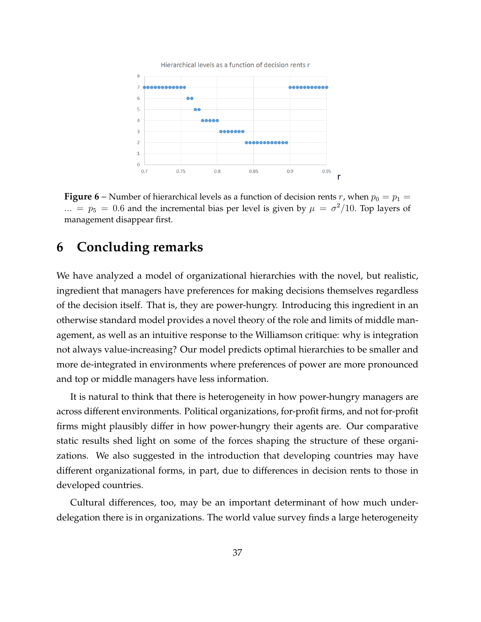

**Figure 6** – Number of hierarchical levels as a function of decision rents r, when  $p_0 = p_1 =$  $\ldots = p_5 = 0.6$  and the incremental bias per level is given by  $\mu = \sigma^2/10$ . Top layers of management disappear first.

## **6 Concluding remarks**

We have analyzed a model of organizational hierarchies with the novel, but realistic, ingredient that managers have preferences for making decisions themselves regardless of the decision itself. That is, they are power-hungry. Introducing this ingredient in an otherwise standard model provides a novel theory of the role and limits of middle management, as well as an intuitive response to the Williamson critique: why is integration not always value-increasing? Our model predicts optimal hierarchies to be smaller and more de-integrated in environments where preferences of power are more pronounced and top or middle managers have less information.

It is natural to think that there is heterogeneity in how power-hungry managers are across different environments. Political organizations, for-profit firms, and not for-profit firms might plausibly differ in how power-hungry their agents are. Our comparative static results shed light on some of the forces shaping the structure of these organizations. We also suggested in the introduction that developing countries may have different organizational forms, in part, due to differences in decision rents to those in developed countries.

Cultural differences, too, may be an important determinant of how much underdelegation there is in organizations. The world value survey finds a large heterogeneity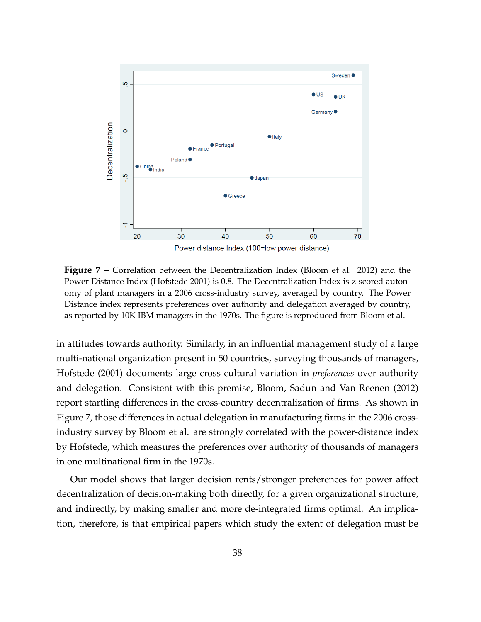<span id="page-38-0"></span>

**Figure 7** – Correlation between the Decentralization Index (Bloom et al. 2012) and the Power Distance Index (Hofstede 2001) is 0.8. The Decentralization Index is z-scored autonomy of plant managers in a 2006 cross-industry survey, averaged by country. The Power Distance index represents preferences over authority and delegation averaged by country, as reported by 10K IBM managers in the 1970s. The figure is reproduced from Bloom et al.

in attitudes towards authority. Similarly, in an influential management study of a large multi-national organization present in 50 countries, surveying thousands of managers, Hofstede (2001) documents large cross cultural variation in *preferences* over authority and delegation. Consistent with this premise, Bloom, Sadun and Van Reenen (2012) report startling differences in the cross-country decentralization of firms. As shown in Figure [7,](#page-38-0) those differences in actual delegation in manufacturing firms in the 2006 crossindustry survey by Bloom et al. are strongly correlated with the power-distance index by Hofstede, which measures the preferences over authority of thousands of managers in one multinational firm in the 1970s.

Our model shows that larger decision rents/stronger preferences for power affect decentralization of decision-making both directly, for a given organizational structure, and indirectly, by making smaller and more de-integrated firms optimal. An implication, therefore, is that empirical papers which study the extent of delegation must be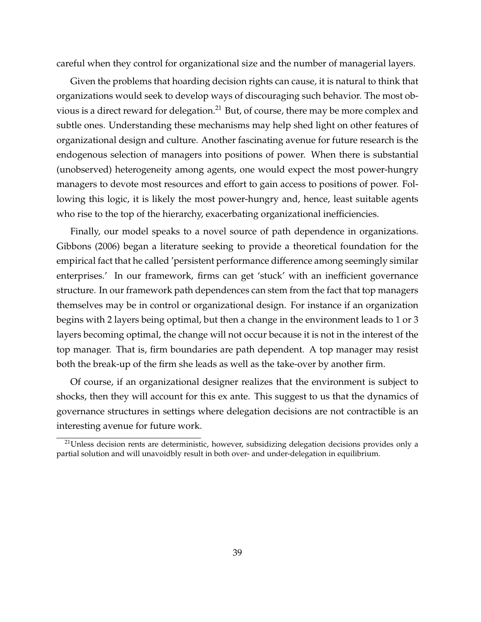careful when they control for organizational size and the number of managerial layers.

Given the problems that hoarding decision rights can cause, it is natural to think that organizations would seek to develop ways of discouraging such behavior. The most ob-vious is a direct reward for delegation.<sup>[21](#page-39-0)</sup> But, of course, there may be more complex and subtle ones. Understanding these mechanisms may help shed light on other features of organizational design and culture. Another fascinating avenue for future research is the endogenous selection of managers into positions of power. When there is substantial (unobserved) heterogeneity among agents, one would expect the most power-hungry managers to devote most resources and effort to gain access to positions of power. Following this logic, it is likely the most power-hungry and, hence, least suitable agents who rise to the top of the hierarchy, exacerbating organizational inefficiencies.

Finally, our model speaks to a novel source of path dependence in organizations. Gibbons (2006) began a literature seeking to provide a theoretical foundation for the empirical fact that he called 'persistent performance difference among seemingly similar enterprises.' In our framework, firms can get 'stuck' with an inefficient governance structure. In our framework path dependences can stem from the fact that top managers themselves may be in control or organizational design. For instance if an organization begins with 2 layers being optimal, but then a change in the environment leads to 1 or 3 layers becoming optimal, the change will not occur because it is not in the interest of the top manager. That is, firm boundaries are path dependent. A top manager may resist both the break-up of the firm she leads as well as the take-over by another firm.

Of course, if an organizational designer realizes that the environment is subject to shocks, then they will account for this ex ante. This suggest to us that the dynamics of governance structures in settings where delegation decisions are not contractible is an interesting avenue for future work.

<span id="page-39-0"></span><sup>&</sup>lt;sup>21</sup>Unless decision rents are deterministic, however, subsidizing delegation decisions provides only a partial solution and will unavoidbly result in both over- and under-delegation in equilibrium.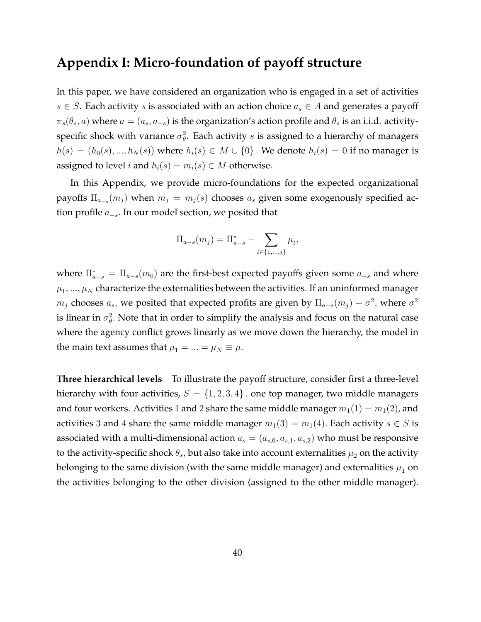## **Appendix I: Micro-foundation of payoff structure**

In this paper, we have considered an organization who is engaged in a set of activities  $s \in S$ . Each activity s is associated with an action choice  $a_s \in A$  and generates a payoff  $\pi_s(\theta_s, a)$  where  $a = (a_s, a_{-s})$  is the organization's action profile and  $\theta_s$  is an i.i.d. activityspecific shock with variance  $\sigma_{\theta}^2$ . Each activity s is assigned to a hierarchy of managers  $h(s) = (h_0(s),...,h_N(s))$  where  $h_i(s) \in M \cup \{0\}$ . We denote  $h_i(s) = 0$  if no manager is assigned to level *i* and  $h_i(s) = m_i(s) \in M$  otherwise.

In this Appendix, we provide micro-foundations for the expected organizational payoffs  $\Pi_{a_{-s}}(m_j)$  when  $m_j\,=\,m_j(s)$  chooses  $a_s$  given some exogenously specified action profile  $a_{-s}$ . In our model section, we posited that

$$
\Pi_{a-s}(m_j) = \Pi_{a-s}^* - \sum_{t \in \{1,\dots,j\}} \mu_t,
$$

where  $\Pi_{a-s}^* = \Pi_{a-s}(m_0)$  are the first-best expected payoffs given some  $a_{-s}$  and where  $\mu_1, ..., \mu_N$  characterize the externalities between the activities. If an uninformed manager  $m_j$  chooses  $a_s$ , we posited that expected profits are given by  $\Pi_{a-s}(m_j) - \sigma^2$ , where  $\sigma^2$ is linear in  $\sigma_{\theta}^2$ . Note that in order to simplify the analysis and focus on the natural case where the agency conflict grows linearly as we move down the hierarchy, the model in the main text assumes that  $\mu_1 = ... = \mu_N \equiv \mu$ .

**Three hierarchical levels** To illustrate the payoff structure, consider first a three-level hierarchy with four activities,  $S = \{1, 2, 3, 4\}$ , one top manager, two middle managers and four workers. Activities 1 and 2 share the same middle manager  $m_1(1) = m_1(2)$ , and activities 3 and 4 share the same middle manager  $m_1(3) = m_1(4)$ . Each activity  $s \in S$  is associated with a multi-dimensional action  $a_s = (a_{s,0}, a_{s,1}, a_{s,2})$  who must be responsive to the activity-specific shock  $\theta_s$ , but also take into account externalities  $\mu_2$  on the activity belonging to the same division (with the same middle manager) and externalities  $\mu_1$  on the activities belonging to the other division (assigned to the other middle manager).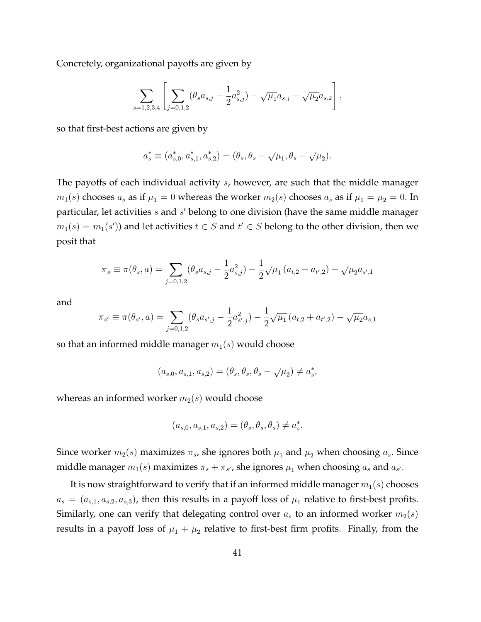Concretely, organizational payoffs are given by

$$
\sum_{s=1,2,3,4}\left[\sum_{j=0,1,2}(\theta_s a_{s,j}-\frac{1}{2}a_{s,j}^2)-\sqrt{\mu_1}a_{s,j}-\sqrt{\mu_2}a_{s,2}\right],
$$

so that first-best actions are given by

$$
a_s^*\equiv(a_{s,0}^*,a_{s,1}^*,a_{s,2}^*)=(\theta_s,\theta_s-\sqrt{\mu_1},\theta_s-\sqrt{\mu_2}).
$$

The payoffs of each individual activity s, however, are such that the middle manager  $m_1(s)$  chooses  $a_s$  as if  $\mu_1 = 0$  whereas the worker  $m_2(s)$  chooses  $a_s$  as if  $\mu_1 = \mu_2 = 0$ . In particular, let activities  $s$  and  $s'$  belong to one division (have the same middle manager  $m_1(s) = m_1(s')$ ) and let activities  $t \in S$  and  $t' \in S$  belong to the other division, then we posit that

$$
\pi_s \equiv \pi(\theta_s, a) = \sum_{j=0,1,2} (\theta_s a_{s,j} - \frac{1}{2} a_{s,j}^2) - \frac{1}{2} \sqrt{\mu_1} (a_{t,2} + a_{t',2}) - \sqrt{\mu_2} a_{s',1}
$$

and

$$
\pi_{s'} \equiv \pi(\theta_{s'}, a) = \sum_{j=0,1,2} (\theta_s a_{s',j} - \frac{1}{2} a_{s',j}^2) - \frac{1}{2} \sqrt{\mu_1} (a_{t,2} + a_{t',2}) - \sqrt{\mu_2} a_{s,1}
$$

so that an informed middle manager  $m_1(s)$  would choose

$$
(a_{s,0}, a_{s,1}, a_{s,2}) = (\theta_s, \theta_s, \theta_s - \sqrt{\mu_2}) \neq a_s^*,
$$

whereas an informed worker  $m_2(s)$  would choose

$$
(a_{s,0}, a_{s,1}, a_{s,2}) = (\theta_s, \theta_s, \theta_s) \neq a_s^*
$$
.

Since worker  $m_2(s)$  maximizes  $\pi_s$ , she ignores both  $\mu_1$  and  $\mu_2$  when choosing  $a_s$ . Since middle manager  $m_1(s)$  maximizes  $\pi_s + \pi_{s'}$ , she ignores  $\mu_1$  when choosing  $a_s$  and  $a_{s'}$ .

It is now straightforward to verify that if an informed middle manager  $m_1(s)$  chooses  $a_s = (a_{s,1}, a_{s,2}, a_{s,3})$ , then this results in a payoff loss of  $\mu_1$  relative to first-best profits. Similarly, one can verify that delegating control over  $a_s$  to an informed worker  $m_2(s)$ results in a payoff loss of  $\mu_1 + \mu_2$  relative to first-best firm profits. Finally, from the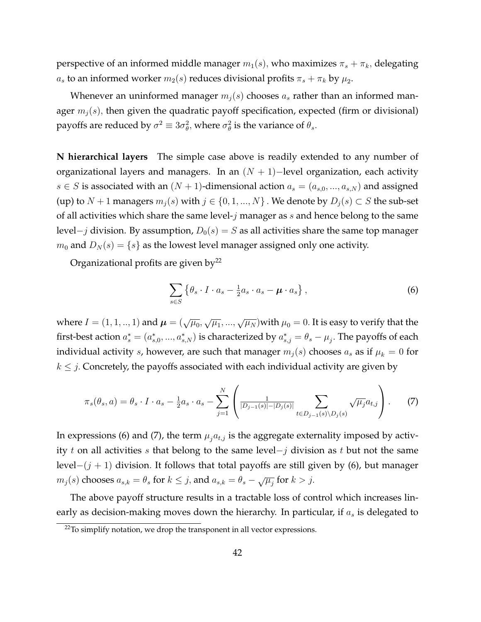perspective of an informed middle manager  $m_1(s)$ , who maximizes  $\pi_s + \pi_k$ , delegating  $a_s$  to an informed worker  $m_2(s)$  reduces divisional profits  $\pi_s + \pi_k$  by  $\mu_2$ .

Whenever an uninformed manager  $m_i(s)$  chooses  $a_s$  rather than an informed manager  $m_i(s)$ , then given the quadratic payoff specification, expected (firm or divisional) payoffs are reduced by  $\sigma^2 \equiv 3\sigma_\theta^2$ , where  $\sigma_\theta^2$  is the variance of  $\theta_s$ .

**N hierarchical layers** The simple case above is readily extended to any number of organizational layers and managers. In an  $(N + 1)$ -level organization, each activity  $s \in S$  is associated with an  $(N + 1)$ -dimensional action  $a_s = (a_{s,0},...,a_{s,N})$  and assigned (up) to  $N + 1$  managers  $m_j(s)$  with  $j \in \{0, 1, ..., N\}$ . We denote by  $D_j(s) \subset S$  the sub-set of all activities which share the same level- $j$  manager as  $s$  and hence belong to the same level–*j* division. By assumption,  $D_0(s) = S$  as all activities share the same top manager  $m_0$  and  $D_N(s) = \{s\}$  as the lowest level manager assigned only one activity.

Organizational profits are given by<sup>[22](#page-42-0)</sup>

<span id="page-42-1"></span>
$$
\sum_{s \in S} \left\{ \theta_s \cdot I \cdot a_s - \frac{1}{2} a_s \cdot a_s - \boldsymbol{\mu} \cdot a_s \right\},\tag{6}
$$

where  $I=(1,1,..,1)$  and  $\boldsymbol{\mu}=(\sqrt{\mu_0},\sqrt{\mu_1},...,\sqrt{\mu_N})$ with  $\mu_0=0.$  It is easy to verify that the first-best action  $a_s^*=(a_{s,0}^*,...,a_{s,N}^*)$  is characterized by  $a_{s,j}^*=\theta_s-\mu_j.$  The payoffs of each individual activity s, however, are such that manager  $m_j(s)$  chooses  $a_s$  as if  $\mu_k = 0$  for  $k \leq j$ . Concretely, the payoffs associated with each individual activity are given by

<span id="page-42-2"></span>
$$
\pi_s(\theta_s, a) = \theta_s \cdot I \cdot a_s - \frac{1}{2} a_s \cdot a_s - \sum_{j=1}^N \left( \frac{1}{|D_{j-1}(s)| - |D_j(s)|} \sum_{t \in D_{j-1}(s) \setminus D_j(s)} \sqrt{\mu_j} a_{t,j} \right). \tag{7}
$$

In expressions [\(6\)](#page-42-1) and [\(7\)](#page-42-2), the term  $\mu_i a_{t,j}$  is the aggregate externality imposed by activity t on all activities s that belong to the same level-j division as t but not the same level $-(j + 1)$  division. It follows that total payoffs are still given by [\(6\)](#page-42-1), but manager  $m_j(s)$  chooses  $a_{s,k} = \theta_s$  for  $k \leq j$ , and  $a_{s,k} = \theta_s - \sqrt{\mu_j}$  for  $k > j$ .

The above payoff structure results in a tractable loss of control which increases linearly as decision-making moves down the hierarchy. In particular, if  $a_s$  is delegated to

<span id="page-42-0"></span> $22$ To simplify notation, we drop the transponent in all vector expressions.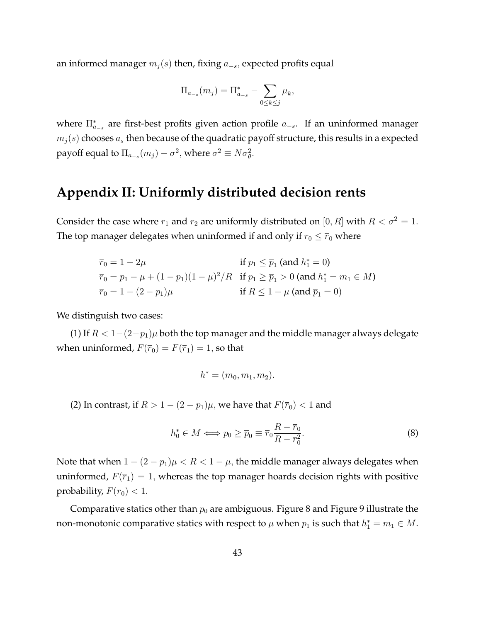an informed manager  $m_j(s)$  then, fixing  $a_{-s}$ , expected profits equal

$$
\Pi_{a_{-s}}(m_j) = \Pi_{a_{-s}}^* - \sum_{0 \le k \le j} \mu_k,
$$

where  $\Pi_{a_{-s}}^*$  are first-best profits given action profile  $a_{-s}$ . If an uninformed manager  $m_i(s)$  chooses  $a_s$  then because of the quadratic payoff structure, this results in a expected payoff equal to  $\Pi_{a_{-s}}(m_j) - \sigma^2$ , where  $\sigma^2 \equiv N \sigma_{\theta}^2$ .

## **Appendix II: Uniformly distributed decision rents**

Consider the case where  $r_1$  and  $r_2$  are uniformly distributed on [0, R] with  $R < \sigma^2 = 1$ . The top manager delegates when uninformed if and only if  $r_0 \leq \overline{r}_0$  where

$$
\overline{r}_0 = 1 - 2\mu \quad \text{if } p_1 \le \overline{p}_1 \text{ (and } h_1^* = 0)
$$
\n
$$
\overline{r}_0 = p_1 - \mu + (1 - p_1)(1 - \mu)^2 / R \quad \text{if } p_1 \ge \overline{p}_1 > 0 \text{ (and } h_1^* = m_1 \in M)
$$
\n
$$
\overline{r}_0 = 1 - (2 - p_1)\mu \quad \text{if } R \le 1 - \mu \text{ (and } \overline{p}_1 = 0)
$$

We distinguish two cases:

(1) If  $R < 1-(2-p_1)\mu$  both the top manager and the middle manager always delegate when uninformed,  $F(\overline{r}_0) = F(\overline{r}_1) = 1$ , so that

$$
h^* = (m_0, m_1, m_2).
$$

(2) In contrast, if  $R > 1 - (2 - p_1)\mu$ , we have that  $F(\overline{r}_0) < 1$  and

$$
h_0^* \in M \Longleftrightarrow p_0 \ge \overline{p}_0 \equiv \overline{r}_0 \frac{R - \overline{r}_0}{R - \overline{r}_0^2}.
$$
 (8)

Note that when  $1 - (2 - p_1)\mu < R < 1 - \mu$ , the middle manager always delegates when uninformed,  $F(\bar{r}_1) = 1$ , whereas the top manager hoards decision rights with positive probability,  $F(\overline{r}_0) < 1$ .

Comparative statics other than  $p_0$  are ambiguous. Figure [8](#page-44-0) and Figure [9](#page-44-1) illustrate the non-monotonic comparative statics with respect to  $\mu$  when  $p_1$  is such that  $h_1^*=m_1\in M.$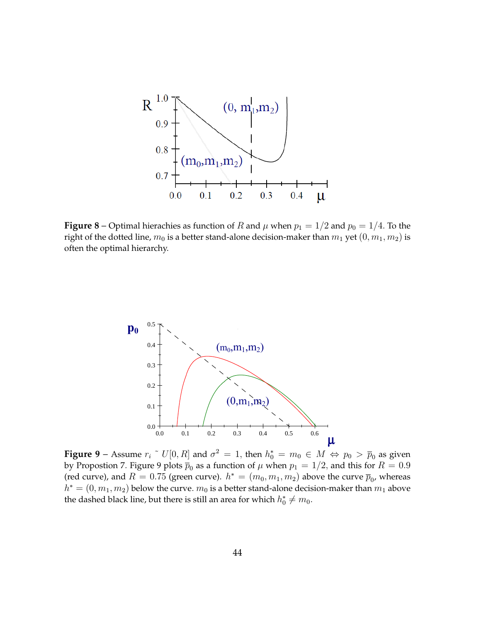<span id="page-44-0"></span>

**Figure 8** – Optimal hierachies as function of R and  $\mu$  when  $p_1 = 1/2$  and  $p_0 = 1/4$ . To the right of the dotted line,  $m_0$  is a better stand-alone decision-maker than  $m_1$  yet  $(0, m_1, m_2)$  is often the optimal hierarchy.

<span id="page-44-1"></span>

**Figure 9** – Assume  $r_i$   $\tilde{U}[0, R]$  and  $\sigma^2 = 1$ , then  $h_0^* = m_0 \in M \Leftrightarrow p_0 > \overline{p}_0$  as given by Propostion [7](#page-27-0). Figure [9](#page-44-1) plots  $\overline{p}_0$  as a function of  $\mu$  when  $p_1=1/2,$  and this for  $R=0.9$ (red curve), and  $R=0.75$  (green curve).  $h^*=(m_0,m_1,m_2)$  above the curve  $\overline{p}_0$ , whereas  $h^* = (0, m_1, m_2)$  below the curve.  $m_0$  is a better stand-alone decision-maker than  $m_1$  above the dashed black line, but there is still an area for which  $h_0^* \neq m_0$ .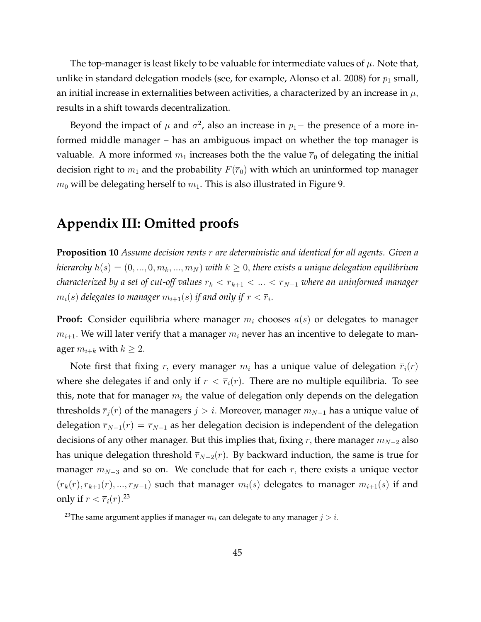The top-manager is least likely to be valuable for intermediate values of  $\mu$ . Note that, unlike in standard delegation models (see, for example, Alonso et al. 2008) for  $p_1$  small, an initial increase in externalities between activities, a characterized by an increase in  $\mu$ , results in a shift towards decentralization.

Beyond the impact of  $\mu$  and  $\sigma^2$ , also an increase in  $p_1$  – the presence of a more informed middle manager – has an ambiguous impact on whether the top manager is valuable. A more informed  $m_1$  increases both the the value  $\bar{r}_0$  of delegating the initial decision right to  $m_1$  and the probability  $F(\overline{r}_0)$  with which an uninformed top manager  $m_0$  will be delegating herself to  $m_1$ . This is also illustrated in Figure [9](#page-44-1).

# **Appendix III: Omitted proofs**

**Proposition [10](#page-35-0)** *Assume decision rents* r *are deterministic and identical for all agents. Given a hierarchy*  $h(s) = (0, ..., 0, m_k, ..., m_N)$  *with*  $k \geq 0$ , there exists a unique delegation equilibrium *characterized by a set of cut-off values*  $\overline{r}_k < \overline{r}_{k+1} < ... < \overline{r}_{N-1}$  where an uninformed manager  $m_i(s)$  delegates to manager  $m_{i+1}(s)$  if and only if  $r<\overline{r}_i.$ 

**Proof:** Consider equilibria where manager  $m_i$  chooses  $a(s)$  or delegates to manager  $m_{i+1}$ . We will later verify that a manager  $m_i$  never has an incentive to delegate to manager  $m_{i+k}$  with  $k \geq 2$ .

Note first that fixing r, every manager  $m_i$  has a unique value of delegation  $\overline{r}_i(r)$ where she delegates if and only if  $r < \bar{r}_i(r)$ . There are no multiple equilibria. To see this, note that for manager  $m_i$  the value of delegation only depends on the delegation thresholds  $\overline{r}_i(r)$  of the managers  $j > i$ . Moreover, manager  $m_{N-1}$  has a unique value of delegation  $\overline{r}_{N-1}(r) = \overline{r}_{N-1}$  as her delegation decision is independent of the delegation decisions of any other manager. But this implies that, fixing r, there manager  $m_{N-2}$  also has unique delegation threshold  $\overline{r}_{N-2}(r)$ . By backward induction, the same is true for manager  $m_{N-3}$  and so on. We conclude that for each r, there exists a unique vector  $(\bar{r}_k(r), \bar{r}_{k+1}(r), ..., \bar{r}_{N-1})$  such that manager  $m_i(s)$  delegates to manager  $m_{i+1}(s)$  if and only if  $r < \overline{r}_i(r)$ .<sup>[23](#page-45-0)</sup>

<span id="page-45-0"></span><sup>&</sup>lt;sup>23</sup>The same argument applies if manager  $m_i$  can delegate to any manager  $j > i$ .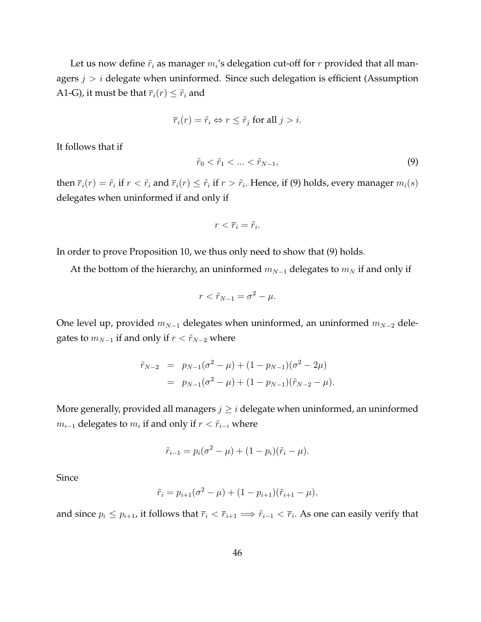Let us now define  $\tilde{r}_i$  as manager  $m_i$ 's delegation cut-off for  $r$  provided that all managers  $j > i$  delegate when uninformed. Since such delegation is efficient (Assumption A1-G), it must be that  $\overline{r}_i(r) \leq \widetilde{r}_i$  and

$$
\overline{r}_i(r) = \tilde{r}_i \Leftrightarrow r \leq \tilde{r}_j \text{ for all } j > i.
$$

It follows that if

<span id="page-46-0"></span>
$$
\tilde{r}_0 < \tilde{r}_1 < \ldots < \tilde{r}_{N-1},\tag{9}
$$

then  $\bar{r}_i(r) = \tilde{r}_i$  if  $r < \tilde{r}_i$  and  $\bar{r}_i(r) \leq \tilde{r}_i$  if  $r > \tilde{r}_i$ . Hence, if [\(9\)](#page-46-0) holds, every manager  $m_i(s)$ delegates when uninformed if and only if

$$
r<\overline{r}_i=\widetilde{r}_i.
$$

In order to prove Proposition [10,](#page-35-0) we thus only need to show that [\(9\)](#page-46-0) holds:

At the bottom of the hierarchy, an uninformed  $m_{N-1}$  delegates to  $m_N$  if and only if

$$
r < \tilde{r}_{N-1} = \sigma^2 - \mu.
$$

One level up, provided  $m_{N-1}$  delegates when uninformed, an uninformed  $m_{N-2}$  delegates to  $m_{N-1}$  if and only if  $r < \tilde{r}_{N-2}$  where

$$
\tilde{r}_{N-2} = p_{N-1}(\sigma^2 - \mu) + (1 - p_{N-1})(\sigma^2 - 2\mu)
$$
  
=  $p_{N-1}(\sigma^2 - \mu) + (1 - p_{N-1})(\tilde{r}_{N-2} - \mu).$ 

More generally, provided all managers  $j \geq i$  delegate when uninformed, an uninformed  $m_{i-1}$  delegates to  $m_i$  if and only if  $r < \tilde{r}_{i-i}$  where

$$
\tilde{r}_{i-1} = p_i(\sigma^2 - \mu) + (1 - p_i)(\tilde{r}_i - \mu).
$$

Since

$$
\tilde{r}_i = p_{i+1}(\sigma^2 - \mu) + (1 - p_{i+1})(\tilde{r}_{i+1} - \mu),
$$

and since  $p_i \leq p_{i+1}$ , it follows that  $\overline{r}_i < \overline{r}_{i+1} \implies \widetilde{r}_{i-1} < \overline{r}_i$ . As one can easily verify that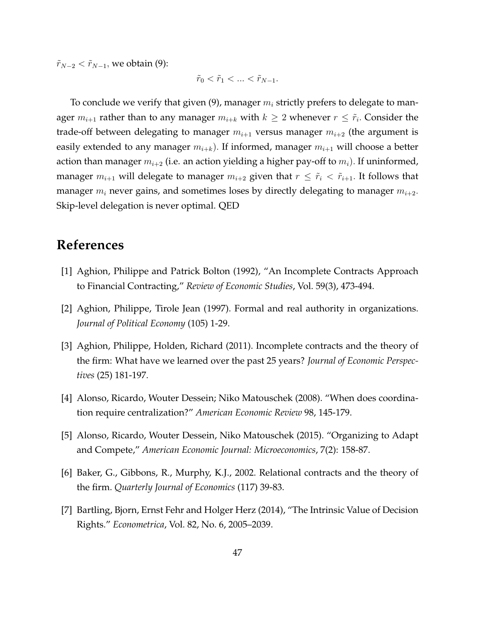$\tilde{r}_{N-2} < \tilde{r}_{N-1}$ , we obtain [\(9\)](#page-46-0):

$$
\tilde{r}_0 < \tilde{r}_1 < \ldots < \tilde{r}_{N-1}.
$$

To conclude we verify that given [\(9\)](#page-46-0), manager  $m_i$  strictly prefers to delegate to manager  $m_{i+1}$  rather than to any manager  $m_{i+k}$  with  $k\geq 2$  whenever  $r\leq \widetilde{r}_i$ . Consider the trade-off between delegating to manager  $m_{i+1}$  versus manager  $m_{i+2}$  (the argument is easily extended to any manager  $m_{i+k}$ ). If informed, manager  $m_{i+1}$  will choose a better action than manager  $m_{i+2}$  (i.e. an action yielding a higher pay-off to  $m_i$ ). If uninformed, manager  $m_{i+1}$  will delegate to manager  $m_{i+2}$  given that  $r \leq \tilde{r}_i < \tilde{r}_{i+1}$ . It follows that manager  $m_i$  never gains, and sometimes loses by directly delegating to manager  $m_{i+2}$ . Skip-level delegation is never optimal. QED

# **References**

- [1] Aghion, Philippe and Patrick Bolton (1992), "An Incomplete Contracts Approach to Financial Contracting," *Review of Economic Studies*, Vol. 59(3), 473-494.
- [2] Aghion, Philippe, Tirole Jean (1997). Formal and real authority in organizations. *Journal of Political Economy* (105) 1-29.
- [3] Aghion, Philippe, Holden, Richard (2011). Incomplete contracts and the theory of the firm: What have we learned over the past 25 years? *Journal of Economic Perspectives* (25) 181-197.
- [4] Alonso, Ricardo, Wouter Dessein; Niko Matouschek (2008). "When does coordination require centralization?" *American Economic Review* 98, 145-179.
- [5] Alonso, Ricardo, Wouter Dessein, Niko Matouschek (2015). "Organizing to Adapt and Compete," *American Economic Journal: Microeconomics*, 7(2): 158-87.
- [6] Baker, G., Gibbons, R., Murphy, K.J., 2002. Relational contracts and the theory of the firm. *Quarterly Journal of Economics* (117) 39-83.
- [7] Bartling, Bjorn, Ernst Fehr and Holger Herz (2014), "The Intrinsic Value of Decision Rights." *Econometrica*, Vol. 82, No. 6, 2005–2039.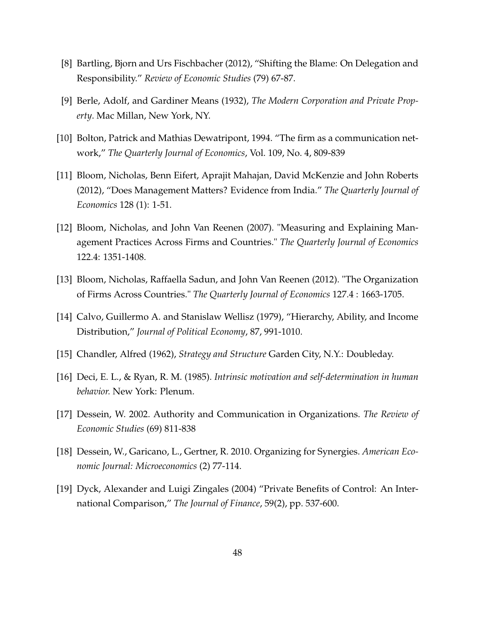- [8] Bartling, Bjorn and Urs Fischbacher (2012), "Shifting the Blame: On Delegation and Responsibility." *Review of Economic Studies* (79) 67-87.
- [9] Berle, Adolf, and Gardiner Means (1932), *The Modern Corporation and Private Property*. Mac Millan, New York, NY.
- [10] Bolton, Patrick and Mathias Dewatripont, 1994. "The firm as a communication network," *The Quarterly Journal of Economics*, Vol. 109, No. 4, 809-839
- [11] Bloom, Nicholas, Benn Eifert, Aprajit Mahajan, David McKenzie and John Roberts (2012), "Does Management Matters? Evidence from India." *The Quarterly Journal of Economics* 128 (1): 1-51.
- [12] Bloom, Nicholas, and John Van Reenen (2007). "Measuring and Explaining Management Practices Across Firms and Countries." *The Quarterly Journal of Economics* 122.4: 1351-1408.
- [13] Bloom, Nicholas, Raffaella Sadun, and John Van Reenen (2012). "The Organization of Firms Across Countries." *The Quarterly Journal of Economics* 127.4 : 1663-1705.
- [14] Calvo, Guillermo A. and Stanislaw Wellisz (1979), "Hierarchy, Ability, and Income Distribution," *Journal of Political Economy*, 87, 991-1010.
- [15] Chandler, Alfred (1962), *Strategy and Structure* Garden City, N.Y.: Doubleday.
- [16] Deci, E. L., & Ryan, R. M. (1985). *Intrinsic motivation and self-determination in human behavior.* New York: Plenum.
- [17] Dessein, W. 2002. Authority and Communication in Organizations. *The Review of Economic Studies* (69) 811-838
- [18] Dessein, W., Garicano, L., Gertner, R. 2010. Organizing for Synergies. *American Economic Journal: Microeconomics* (2) 77-114.
- [19] Dyck, Alexander and Luigi Zingales (2004) "Private Benefits of Control: An International Comparison," *The Journal of Finance*, 59(2), pp. 537-600.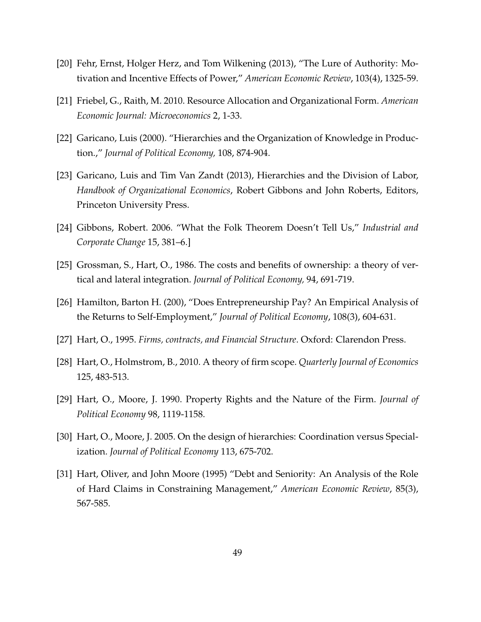- [20] Fehr, Ernst, Holger Herz, and Tom Wilkening (2013), "The Lure of Authority: Motivation and Incentive Effects of Power," *American Economic Review*, 103(4), 1325-59.
- [21] Friebel, G., Raith, M. 2010. Resource Allocation and Organizational Form. *American Economic Journal: Microeconomics* 2, 1-33.
- [22] Garicano, Luis (2000). "Hierarchies and the Organization of Knowledge in Production.," *Journal of Political Economy,* 108, 874-904.
- [23] Garicano, Luis and Tim Van Zandt (2013), Hierarchies and the Division of Labor, *Handbook of Organizational Economics*, Robert Gibbons and John Roberts, Editors, Princeton University Press.
- [24] Gibbons, Robert. 2006. "What the Folk Theorem Doesn't Tell Us," *Industrial and Corporate Change* 15, 381–6.]
- [25] Grossman, S., Hart, O., 1986. The costs and benefits of ownership: a theory of vertical and lateral integration. *Journal of Political Economy,* 94, 691-719.
- [26] Hamilton, Barton H. (200), "Does Entrepreneurship Pay? An Empirical Analysis of the Returns to Self-Employment," *Journal of Political Economy*, 108(3), 604-631.
- [27] Hart, O., 1995. *Firms, contracts, and Financial Structure*. Oxford: Clarendon Press.
- [28] Hart, O., Holmstrom, B., 2010. A theory of firm scope. *Quarterly Journal of Economics* 125, 483-513.
- [29] Hart, O., Moore, J. 1990. Property Rights and the Nature of the Firm. *Journal of Political Economy* 98, 1119-1158.
- [30] Hart, O., Moore, J. 2005. On the design of hierarchies: Coordination versus Specialization. *Journal of Political Economy* 113, 675-702.
- [31] Hart, Oliver, and John Moore (1995) "Debt and Seniority: An Analysis of the Role of Hard Claims in Constraining Management," *American Economic Review*, 85(3), 567-585.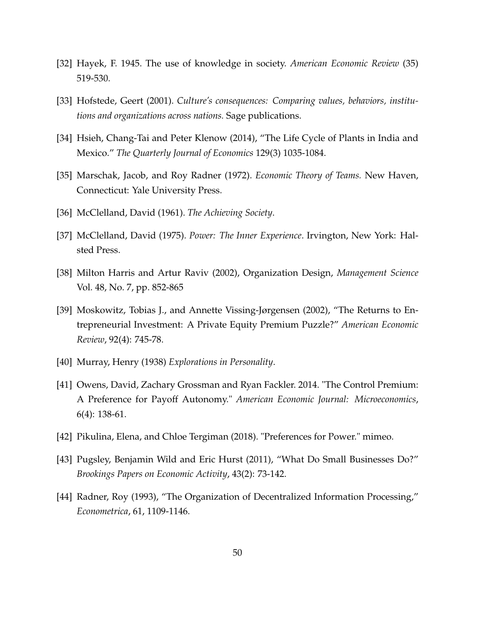- [32] Hayek, F. 1945. The use of knowledge in society. *American Economic Review* (35) 519-530.
- [33] Hofstede, Geert (2001). *Culture's consequences: Comparing values, behaviors, institutions and organizations across nations.* Sage publications.
- [34] Hsieh, Chang-Tai and Peter Klenow (2014), "The Life Cycle of Plants in India and Mexico." *The Quarterly Journal of Economics* 129(3) 1035-1084.
- [35] Marschak, Jacob, and Roy Radner (1972). *Economic Theory of Teams.* New Haven, Connecticut: Yale University Press.
- [36] McClelland, David (1961). *The Achieving Society*.
- [37] McClelland, David (1975). *Power: The Inner Experience*. Irvington, New York: Halsted Press.
- [38] Milton Harris and Artur Raviv (2002), Organization Design, *Management Science* Vol. 48, No. 7, pp. 852-865
- [39] Moskowitz, Tobias J., and Annette Vissing-Jørgensen (2002), "The Returns to Entrepreneurial Investment: A Private Equity Premium Puzzle?" *American Economic Review*, 92(4): 745-78.
- [40] Murray, Henry (1938) *Explorations in Personality*.
- [41] Owens, David, Zachary Grossman and Ryan Fackler. 2014. "The Control Premium: A Preference for Payoff Autonomy." *American Economic Journal: Microeconomics*, 6(4): 138-61.
- [42] Pikulina, Elena, and Chloe Tergiman (2018). "Preferences for Power." mimeo.
- [43] Pugsley, Benjamin Wild and Eric Hurst (2011), "What Do Small Businesses Do?" *Brookings Papers on Economic Activity*, 43(2): 73-142.
- [44] Radner, Roy (1993), "The Organization of Decentralized Information Processing," *Econometrica*, 61, 1109-1146.